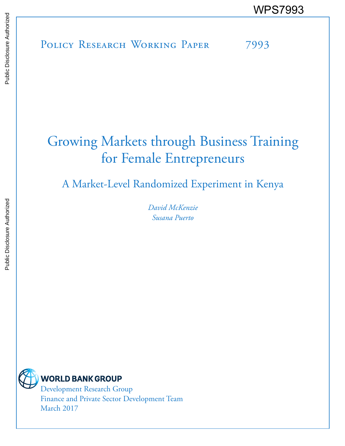POLICY RESEARCH WORKING PAPER 7993 WPS7993

# Growing Markets through Business Training for Female Entrepreneurs

A Market-Level Randomized Experiment in Kenya

*David McKenzie Susana Puerto* 



**WORLD BANK GROUP** 

Development Research Group Finance and Private Sector Development Team March 2017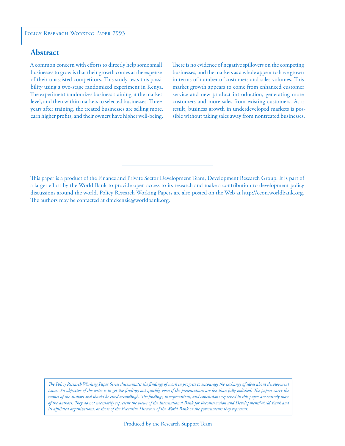# **Abstract**

A common concern with efforts to directly help some small businesses to grow is that their growth comes at the expense of their unassisted competitors. This study tests this possibility using a two-stage randomized experiment in Kenya. The experiment randomizes business training at the market level, and then within markets to selected businesses. Three years after training, the treated businesses are selling more, earn higher profits, and their owners have higher well-being.

There is no evidence of negative spillovers on the competing businesses, and the markets as a whole appear to have grown in terms of number of customers and sales volumes. This market growth appears to come from enhanced customer service and new product introduction, generating more customers and more sales from existing customers. As a result, business growth in underdeveloped markets is possible without taking sales away from nontreated businesses.

This paper is a product of the Finance and Private Sector Development Team, Development Research Group. It is part of a larger effort by the World Bank to provide open access to its research and make a contribution to development policy discussions around the world. Policy Research Working Papers are also posted on the Web at http://econ.worldbank.org. The authors may be contacted at dmckenzie@worldbank.org.

*The Policy Research Working Paper Series disseminates the findings of work in progress to encourage the exchange of ideas about development*  issues. An objective of the series is to get the findings out quickly, even if the presentations are less than fully polished. The papers carry the *names of the authors and should be cited accordingly. The findings, interpretations, and conclusions expressed in this paper are entirely those of the authors. They do not necessarily represent the views of the International Bank for Reconstruction and Development/World Bank and its affiliated organizations, or those of the Executive Directors of the World Bank or the governments they represent.*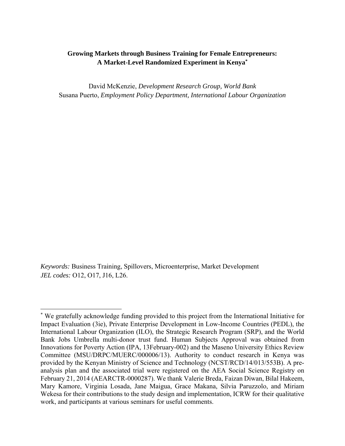## **Growing Markets through Business Training for Female Entrepreneurs: A Market-Level Randomized Experiment in Kenya\***

David McKenzie, *Development Research Group, World Bank*  Susana Puerto, *Employment Policy Department, International Labour Organization* 

*Keywords:* Business Training, Spillovers, Microenterprise, Market Development *JEL codes:* O12, O17, J16, L26.

<sup>\*</sup> We gratefully acknowledge funding provided to this project from the International Initiative for Impact Evaluation (3ie), Private Enterprise Development in Low-Income Countries (PEDL), the International Labour Organization (ILO), the Strategic Research Program (SRP), and the World Bank Jobs Umbrella multi-donor trust fund. Human Subjects Approval was obtained from Innovations for Poverty Action (IPA, 13February-002) and the Maseno University Ethics Review Committee (MSU/DRPC/MUERC/000006/13). Authority to conduct research in Kenya was provided by the Kenyan Ministry of Science and Technology (NCST/RCD/14/013/553B). A preanalysis plan and the associated trial were registered on the AEA Social Science Registry on February 21, 2014 (AEARCTR-0000287). We thank Valerie Breda, Faizan Diwan, Bilal Hakeem, Mary Kamore, Virginia Losada, Jane Maigua, Grace Makana, Silvia Paruzzolo, and Miriam Wekesa for their contributions to the study design and implementation, ICRW for their qualitative work, and participants at various seminars for useful comments.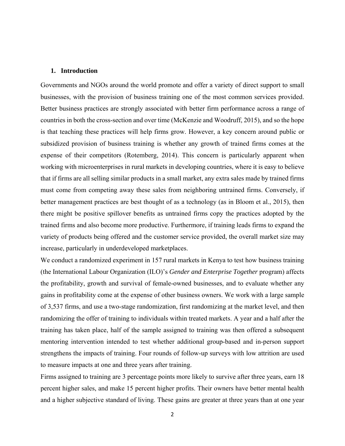## **1. Introduction**

Governments and NGOs around the world promote and offer a variety of direct support to small businesses, with the provision of business training one of the most common services provided. Better business practices are strongly associated with better firm performance across a range of countries in both the cross-section and over time (McKenzie and Woodruff, 2015), and so the hope is that teaching these practices will help firms grow. However, a key concern around public or subsidized provision of business training is whether any growth of trained firms comes at the expense of their competitors (Rotemberg, 2014). This concern is particularly apparent when working with microenterprises in rural markets in developing countries, where it is easy to believe that if firms are all selling similar products in a small market, any extra sales made by trained firms must come from competing away these sales from neighboring untrained firms. Conversely, if better management practices are best thought of as a technology (as in Bloom et al., 2015), then there might be positive spillover benefits as untrained firms copy the practices adopted by the trained firms and also become more productive. Furthermore, if training leads firms to expand the variety of products being offered and the customer service provided, the overall market size may increase, particularly in underdeveloped marketplaces.

We conduct a randomized experiment in 157 rural markets in Kenya to test how business training (the International Labour Organization (ILO)'s *Gender and Enterprise Together* program) affects the profitability, growth and survival of female-owned businesses, and to evaluate whether any gains in profitability come at the expense of other business owners. We work with a large sample of 3,537 firms, and use a two-stage randomization, first randomizing at the market level, and then randomizing the offer of training to individuals within treated markets. A year and a half after the training has taken place, half of the sample assigned to training was then offered a subsequent mentoring intervention intended to test whether additional group-based and in-person support strengthens the impacts of training. Four rounds of follow-up surveys with low attrition are used to measure impacts at one and three years after training.

Firms assigned to training are 3 percentage points more likely to survive after three years, earn 18 percent higher sales, and make 15 percent higher profits. Their owners have better mental health and a higher subjective standard of living. These gains are greater at three years than at one year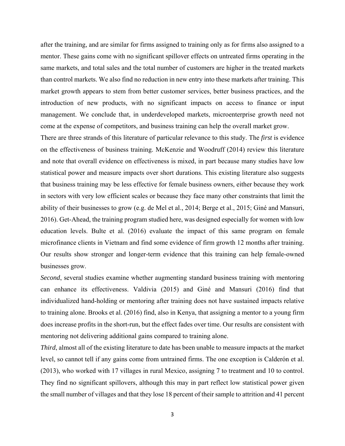after the training, and are similar for firms assigned to training only as for firms also assigned to a mentor. These gains come with no significant spillover effects on untreated firms operating in the same markets, and total sales and the total number of customers are higher in the treated markets than control markets. We also find no reduction in new entry into these markets after training. This market growth appears to stem from better customer services, better business practices, and the introduction of new products, with no significant impacts on access to finance or input management. We conclude that, in underdeveloped markets, microenterprise growth need not come at the expense of competitors, and business training can help the overall market grow.

There are three strands of this literature of particular relevance to this study. The *first* is evidence on the effectiveness of business training. McKenzie and Woodruff (2014) review this literature and note that overall evidence on effectiveness is mixed, in part because many studies have low statistical power and measure impacts over short durations. This existing literature also suggests that business training may be less effective for female business owners, either because they work in sectors with very low efficient scales or because they face many other constraints that limit the ability of their businesses to grow (e.g. de Mel et al., 2014; Berge et al., 2015; Giné and Mansuri, 2016). Get-Ahead, the training program studied here, was designed especially for women with low education levels. Bulte et al. (2016) evaluate the impact of this same program on female microfinance clients in Vietnam and find some evidence of firm growth 12 months after training. Our results show stronger and longer-term evidence that this training can help female-owned businesses grow.

*Second*, several studies examine whether augmenting standard business training with mentoring can enhance its effectiveness. Valdivia (2015) and Giné and Mansuri (2016) find that individualized hand-holding or mentoring after training does not have sustained impacts relative to training alone. Brooks et al. (2016) find, also in Kenya, that assigning a mentor to a young firm does increase profits in the short-run, but the effect fades over time. Our results are consistent with mentoring not delivering additional gains compared to training alone.

*Third*, almost all of the existing literature to date has been unable to measure impacts at the market level, so cannot tell if any gains come from untrained firms. The one exception is Calderón et al. (2013), who worked with 17 villages in rural Mexico, assigning 7 to treatment and 10 to control. They find no significant spillovers, although this may in part reflect low statistical power given the small number of villages and that they lose 18 percent of their sample to attrition and 41 percent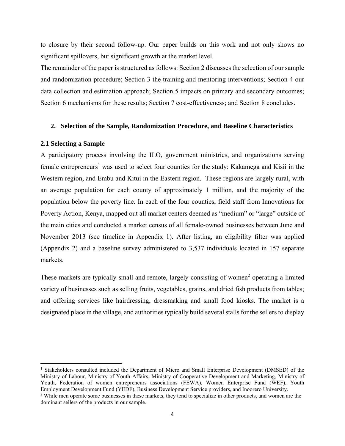to closure by their second follow-up. Our paper builds on this work and not only shows no significant spillovers, but significant growth at the market level.

The remainder of the paper is structured as follows: Section 2 discusses the selection of our sample and randomization procedure; Section 3 the training and mentoring interventions; Section 4 our data collection and estimation approach; Section 5 impacts on primary and secondary outcomes; Section 6 mechanisms for these results; Section 7 cost-effectiveness; and Section 8 concludes.

### **2. Selection of the Sample, Randomization Procedure, and Baseline Characteristics**

## **2.1 Selecting a Sample**

A participatory process involving the ILO, government ministries, and organizations serving female entrepreneurs<sup>1</sup> was used to select four counties for the study: Kakamega and Kisii in the Western region, and Embu and Kitui in the Eastern region. These regions are largely rural, with an average population for each county of approximately 1 million, and the majority of the population below the poverty line. In each of the four counties, field staff from Innovations for Poverty Action, Kenya, mapped out all market centers deemed as "medium" or "large" outside of the main cities and conducted a market census of all female-owned businesses between June and November 2013 (see timeline in Appendix 1). After listing, an eligibility filter was applied (Appendix 2) and a baseline survey administered to 3,537 individuals located in 157 separate markets.

These markets are typically small and remote, largely consisting of women<sup>2</sup> operating a limited variety of businesses such as selling fruits, vegetables, grains, and dried fish products from tables; and offering services like hairdressing, dressmaking and small food kiosks. The market is a designated place in the village, and authorities typically build several stalls for the sellers to display

<sup>&</sup>lt;sup>1</sup> Stakeholders consulted included the Department of Micro and Small Enterprise Development (DMSED) of the Ministry of Labour, Ministry of Youth Affairs, Ministry of Cooperative Development and Marketing, Ministry of Youth, Federation of women entrepreneurs associations (FEWA), Women Enterprise Fund (WEF), Youth Employment Development Fund (YEDF), Business Development Service providers, and Inoorero University. <sup>2</sup> While men operate some businesses in these markets, they tend to specialize in other products, and women are the dominant sellers of the products in our sample.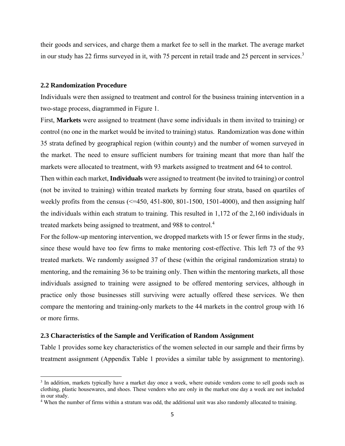their goods and services, and charge them a market fee to sell in the market. The average market in our study has 22 firms surveyed in it, with 75 percent in retail trade and 25 percent in services.<sup>3</sup>

## **2.2 Randomization Procedure**

Individuals were then assigned to treatment and control for the business training intervention in a two-stage process, diagrammed in Figure 1.

First, **Markets** were assigned to treatment (have some individuals in them invited to training) or control (no one in the market would be invited to training) status. Randomization was done within 35 strata defined by geographical region (within county) and the number of women surveyed in the market. The need to ensure sufficient numbers for training meant that more than half the markets were allocated to treatment, with 93 markets assigned to treatment and 64 to control.

Then within each market, **Individuals** were assigned to treatment (be invited to training) or control (not be invited to training) within treated markets by forming four strata, based on quartiles of weekly profits from the census  $\ll$  =450, 451-800, 801-1500, 1501-4000), and then assigning half the individuals within each stratum to training. This resulted in 1,172 of the 2,160 individuals in treated markets being assigned to treatment, and 988 to control.<sup>4</sup>

For the follow-up mentoring intervention, we dropped markets with 15 or fewer firms in the study, since these would have too few firms to make mentoring cost-effective. This left 73 of the 93 treated markets. We randomly assigned 37 of these (within the original randomization strata) to mentoring, and the remaining 36 to be training only. Then within the mentoring markets, all those individuals assigned to training were assigned to be offered mentoring services, although in practice only those businesses still surviving were actually offered these services. We then compare the mentoring and training-only markets to the 44 markets in the control group with 16 or more firms.

## **2.3 Characteristics of the Sample and Verification of Random Assignment**

Table 1 provides some key characteristics of the women selected in our sample and their firms by treatment assignment (Appendix Table 1 provides a similar table by assignment to mentoring).

<sup>&</sup>lt;sup>3</sup> In addition, markets typically have a market day once a week, where outside vendors come to sell goods such as clothing, plastic housewares, and shoes. These vendors who are only in the market one day a week are not included in our study.

<sup>&</sup>lt;sup>4</sup> When the number of firms within a stratum was odd, the additional unit was also randomly allocated to training.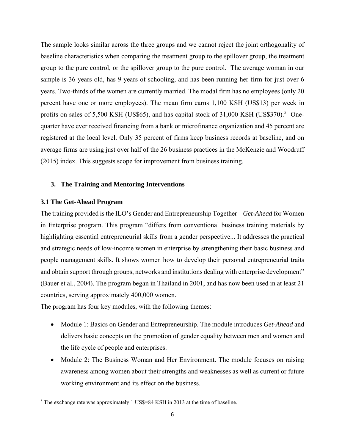The sample looks similar across the three groups and we cannot reject the joint orthogonality of baseline characteristics when comparing the treatment group to the spillover group, the treatment group to the pure control, or the spillover group to the pure control. The average woman in our sample is 36 years old, has 9 years of schooling, and has been running her firm for just over 6 years. Two-thirds of the women are currently married. The modal firm has no employees (only 20 percent have one or more employees). The mean firm earns 1,100 KSH (US\$13) per week in profits on sales of 5,500 KSH (US\$65), and has capital stock of 31,000 KSH (US\$370).<sup>5</sup> Onequarter have ever received financing from a bank or microfinance organization and 45 percent are registered at the local level. Only 35 percent of firms keep business records at baseline, and on average firms are using just over half of the 26 business practices in the McKenzie and Woodruff (2015) index. This suggests scope for improvement from business training.

## **3. The Training and Mentoring Interventions**

## **3.1 The Get-Ahead Program**

The training provided is the ILO's Gender and Entrepreneurship Together – *Get-Ahead* for Women in Enterprise program. This program "differs from conventional business training materials by highlighting essential entrepreneurial skills from a gender perspective... It addresses the practical and strategic needs of low-income women in enterprise by strengthening their basic business and people management skills. It shows women how to develop their personal entrepreneurial traits and obtain support through groups, networks and institutions dealing with enterprise development" (Bauer et al., 2004). The program began in Thailand in 2001, and has now been used in at least 21 countries, serving approximately 400,000 women.

The program has four key modules, with the following themes:

- Module 1: Basics on Gender and Entrepreneurship. The module introduces *Get-Ahead* and delivers basic concepts on the promotion of gender equality between men and women and the life cycle of people and enterprises.
- Module 2: The Business Woman and Her Environment. The module focuses on raising awareness among women about their strengths and weaknesses as well as current or future working environment and its effect on the business.

<sup>&</sup>lt;sup>5</sup> The exchange rate was approximately 1 US\$=84 KSH in 2013 at the time of baseline.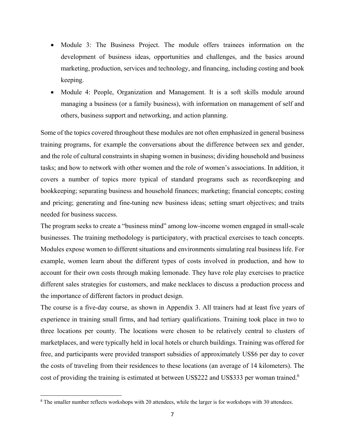- Module 3: The Business Project. The module offers trainees information on the development of business ideas, opportunities and challenges, and the basics around marketing, production, services and technology, and financing, including costing and book keeping.
- Module 4: People, Organization and Management. It is a soft skills module around managing a business (or a family business), with information on management of self and others, business support and networking, and action planning.

Some of the topics covered throughout these modules are not often emphasized in general business training programs, for example the conversations about the difference between sex and gender, and the role of cultural constraints in shaping women in business; dividing household and business tasks; and how to network with other women and the role of women's associations. In addition, it covers a number of topics more typical of standard programs such as recordkeeping and bookkeeping; separating business and household finances; marketing; financial concepts; costing and pricing; generating and fine-tuning new business ideas; setting smart objectives; and traits needed for business success.

The program seeks to create a "business mind" among low-income women engaged in small-scale businesses. The training methodology is participatory, with practical exercises to teach concepts. Modules expose women to different situations and environments simulating real business life. For example, women learn about the different types of costs involved in production, and how to account for their own costs through making lemonade. They have role play exercises to practice different sales strategies for customers, and make necklaces to discuss a production process and the importance of different factors in product design.

The course is a five-day course, as shown in Appendix 3. All trainers had at least five years of experience in training small firms, and had tertiary qualifications. Training took place in two to three locations per county. The locations were chosen to be relatively central to clusters of marketplaces, and were typically held in local hotels or church buildings. Training was offered for free, and participants were provided transport subsidies of approximately US\$6 per day to cover the costs of traveling from their residences to these locations (an average of 14 kilometers). The cost of providing the training is estimated at between US\$222 and US\$333 per woman trained.<sup>6</sup>

<sup>&</sup>lt;sup>6</sup> The smaller number reflects workshops with 20 attendees, while the larger is for workshops with 30 attendees.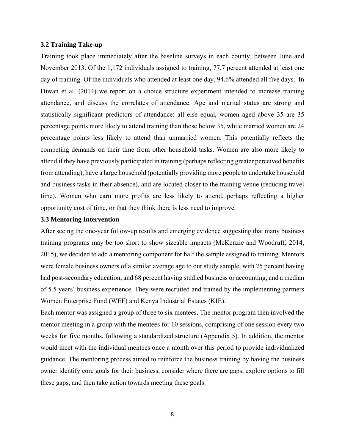## **3.2 Training Take-up**

Training took place immediately after the baseline surveys in each county, between June and November 2013. Of the 1,172 individuals assigned to training, 77.7 percent attended at least one day of training. Of the individuals who attended at least one day, 94.6% attended all five days. In Diwan et al. (2014) we report on a choice structure experiment intended to increase training attendance, and discuss the correlates of attendance. Age and marital status are strong and statistically significant predictors of attendance: all else equal, women aged above 35 are 35 percentage points more likely to attend training than those below 35, while married women are 24 percentage points less likely to attend than unmarried women. This potentially reflects the competing demands on their time from other household tasks. Women are also more likely to attend if they have previously participated in training (perhaps reflecting greater perceived benefits from attending), have a large household (potentially providing more people to undertake household and business tasks in their absence), and are located closer to the training venue (reducing travel time). Women who earn more profits are less likely to attend, perhaps reflecting a higher opportunity cost of time, or that they think there is less need to improve.

## **3.3 Mentoring Intervention**

After seeing the one-year follow-up results and emerging evidence suggesting that many business training programs may be too short to show sizeable impacts (McKenzie and Woodruff, 2014, 2015), we decided to add a mentoring component for half the sample assigned to training. Mentors were female business owners of a similar average age to our study sample, with 75 percent having had post-secondary education, and 68 percent having studied business or accounting, and a median of 5.5 years' business experience. They were recruited and trained by the implementing partners Women Enterprise Fund (WEF) and Kenya Industrial Estates (KIE).

Each mentor was assigned a group of three to six mentees. The mentor program then involved the mentor meeting in a group with the mentees for 10 sessions, comprising of one session every two weeks for five months, following a standardized structure (Appendix 5). In addition, the mentor would meet with the individual mentees once a month over this period to provide individualized guidance. The mentoring process aimed to reinforce the business training by having the business owner identify core goals for their business, consider where there are gaps, explore options to fill these gaps, and then take action towards meeting these goals.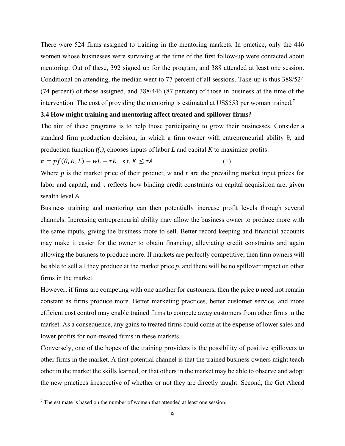There were 524 firms assigned to training in the mentoring markets. In practice, only the 446 women whose businesses were surviving at the time of the first follow-up were contacted about mentoring. Out of these, 392 signed up for the program, and 388 attended at least one session. Conditional on attending, the median went to 77 percent of all sessions. Take-up is thus 388/524 (74 percent) of those assigned, and 388/446 (87 percent) of those in business at the time of the intervention. The cost of providing the mentoring is estimated at US\$553 per woman trained.<sup>7</sup>

## **3.4 How might training and mentoring affect treated and spillover firms?**

The aim of these programs is to help those participating to grow their businesses. Consider a standard firm production decision, in which a firm owner with entrepreneurial ability θ, and production function *f(.)*, chooses inputs of labor *L* and capital *K* to maximize profits:

$$
\pi = pf(\theta, K, L) - wL - rK \quad \text{s.t. } K \le \tau A \tag{1}
$$

Where *p* is the market price of their product, *w* and *r* are the prevailing market input prices for labor and capital, and  $\tau$  reflects how binding credit constraints on capital acquisition are, given wealth level *A.* 

Business training and mentoring can then potentially increase profit levels through several channels. Increasing entrepreneurial ability may allow the business owner to produce more with the same inputs, giving the business more to sell. Better record-keeping and financial accounts may make it easier for the owner to obtain financing, alleviating credit constraints and again allowing the business to produce more. If markets are perfectly competitive, then firm owners will be able to sell all they produce at the market price *p*, and there will be no spillover impact on other firms in the market.

However, if firms are competing with one another for customers, then the price *p* need not remain constant as firms produce more. Better marketing practices, better customer service, and more efficient cost control may enable trained firms to compete away customers from other firms in the market. As a consequence, any gains to treated firms could come at the expense of lower sales and lower profits for non-treated firms in these markets.

Conversely, one of the hopes of the training providers is the possibility of positive spillovers to other firms in the market. A first potential channel is that the trained business owners might teach other in the market the skills learned, or that others in the market may be able to observe and adopt the new practices irrespective of whether or not they are directly taught. Second, the Get Ahead

<sup>&</sup>lt;sup>7</sup> The estimate is based on the number of women that attended at least one session.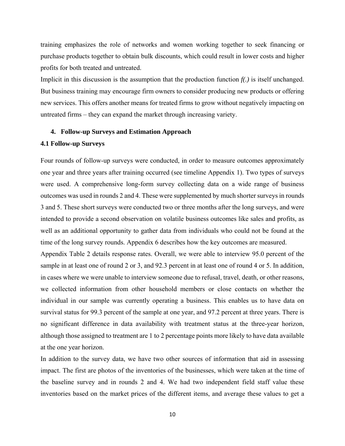training emphasizes the role of networks and women working together to seek financing or purchase products together to obtain bulk discounts, which could result in lower costs and higher profits for both treated and untreated.

Implicit in this discussion is the assumption that the production function *f(.)* is itself unchanged. But business training may encourage firm owners to consider producing new products or offering new services. This offers another means for treated firms to grow without negatively impacting on untreated firms – they can expand the market through increasing variety.

## **4. Follow-up Surveys and Estimation Approach**

## **4.1 Follow-up Surveys**

Four rounds of follow-up surveys were conducted, in order to measure outcomes approximately one year and three years after training occurred (see timeline Appendix 1). Two types of surveys were used. A comprehensive long-form survey collecting data on a wide range of business outcomes was used in rounds 2 and 4. These were supplemented by much shorter surveys in rounds 3 and 5. These short surveys were conducted two or three months after the long surveys, and were intended to provide a second observation on volatile business outcomes like sales and profits, as well as an additional opportunity to gather data from individuals who could not be found at the time of the long survey rounds. Appendix 6 describes how the key outcomes are measured.

Appendix Table 2 details response rates. Overall, we were able to interview 95.0 percent of the sample in at least one of round 2 or 3, and 92.3 percent in at least one of round 4 or 5. In addition, in cases where we were unable to interview someone due to refusal, travel, death, or other reasons, we collected information from other household members or close contacts on whether the individual in our sample was currently operating a business. This enables us to have data on survival status for 99.3 percent of the sample at one year, and 97.2 percent at three years. There is no significant difference in data availability with treatment status at the three-year horizon, although those assigned to treatment are 1 to 2 percentage points more likely to have data available at the one year horizon.

In addition to the survey data, we have two other sources of information that aid in assessing impact. The first are photos of the inventories of the businesses, which were taken at the time of the baseline survey and in rounds 2 and 4. We had two independent field staff value these inventories based on the market prices of the different items, and average these values to get a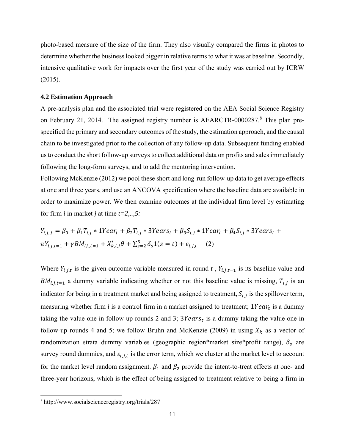photo-based measure of the size of the firm. They also visually compared the firms in photos to determine whether the business looked bigger in relative terms to what it was at baseline. Secondly, intensive qualitative work for impacts over the first year of the study was carried out by ICRW (2015).

## **4.2 Estimation Approach**

A pre-analysis plan and the associated trial were registered on the AEA Social Science Registry on February 21, 2014. The assigned registry number is AEARCTR-0000287.<sup>8</sup> This plan prespecified the primary and secondary outcomes of the study, the estimation approach, and the causal chain to be investigated prior to the collection of any follow-up data. Subsequent funding enabled us to conduct the short follow-up surveys to collect additional data on profits and sales immediately following the long-form surveys, and to add the mentoring intervention.

Following McKenzie (2012) we pool these short and long-run follow-up data to get average effects at one and three years, and use an ANCOVA specification where the baseline data are available in order to maximize power. We then examine outcomes at the individual firm level by estimating for firm *i* in market *j* at time *t=2,..,5:* 

$$
Y_{i,j,t} = \beta_0 + \beta_1 T_{i,j} * 1Year_t + \beta_2 T_{i,j} * 3Year_s_t + \beta_3 S_{i,j} * 1Year_t + \beta_4 S_{i,j} * 3Year_s_t + \pi Y_{i,j,t=1} + \gamma BM_{ij,t=1} + X'_{k,i,j} \theta + \sum_{s=2}^{5} \delta_s 1(s=t) + \varepsilon_{i,j,t} \tag{2}
$$

Where  $Y_{i,j,t}$  is the given outcome variable measured in round *t*,  $Y_{i,j,t=1}$  is its baseline value and  $BM_{i,j,t=1}$  a dummy variable indicating whether or not this baseline value is missing,  $T_{i,j}$  is an indicator for being in a treatment market and being assigned to treatment,  $S_{i,j}$  is the spillover term, measuring whether firm  $i$  is a control firm in a market assigned to treatment;  $1Year_t$  is a dummy taking the value one in follow-up rounds 2 and 3;  $3Years_t$  is a dummy taking the value one in follow-up rounds 4 and 5; we follow Bruhn and McKenzie (2009) in using  $X_k$  as a vector of randomization strata dummy variables (geographic region\*market size\*profit range),  $\delta_s$  are survey round dummies, and  $\varepsilon_{i,j,t}$  is the error term, which we cluster at the market level to account for the market level random assignment.  $\beta_1$  and  $\beta_2$  provide the intent-to-treat effects at one- and three-year horizons, which is the effect of being assigned to treatment relative to being a firm in

<sup>8</sup> http://www.socialscienceregistry.org/trials/287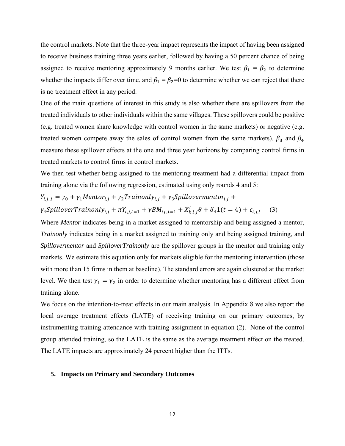the control markets. Note that the three-year impact represents the impact of having been assigned to receive business training three years earlier, followed by having a 50 percent chance of being assigned to receive mentoring approximately 9 months earlier. We test  $\beta_1 = \beta_2$  to determine whether the impacts differ over time, and  $\beta_1 = \beta_2 = 0$  to determine whether we can reject that there is no treatment effect in any period.

One of the main questions of interest in this study is also whether there are spillovers from the treated individuals to other individuals within the same villages. These spillovers could be positive (e.g. treated women share knowledge with control women in the same markets) or negative (e.g. treated women compete away the sales of control women from the same markets).  $\beta_3$  and  $\beta_4$ measure these spillover effects at the one and three year horizons by comparing control firms in treated markets to control firms in control markets.

We then test whether being assigned to the mentoring treatment had a differential impact from training alone via the following regression, estimated using only rounds 4 and 5:

 $Y_{i,j,t} = \gamma_0 + \gamma_1 M$ ento $r_{i,j} + \gamma_2 T$ rainonl $y_{i,j} + \gamma_3 S$ pillovermento $r_{i,j} + \gamma_4 S$ 

 $\gamma_4$ SpilloverTrainonly<sub>i,j</sub> +  $\pi Y_{i,j,t=1} + \gamma B M_{ij,t=1} + X'_{k,i,j} \theta + \delta_4 1(t=4) + \varepsilon_{i,j,t}$  (3)

Where *Mentor* indicates being in a market assigned to mentorship and being assigned a mentor, *Trainonly* indicates being in a market assigned to training only and being assigned training, and *Spillovermentor* and *SpilloverTrainonly* are the spillover groups in the mentor and training only markets. We estimate this equation only for markets eligible for the mentoring intervention (those with more than 15 firms in them at baseline). The standard errors are again clustered at the market level. We then test  $\gamma_1 = \gamma_2$  in order to determine whether mentoring has a different effect from training alone.

We focus on the intention-to-treat effects in our main analysis. In Appendix 8 we also report the local average treatment effects (LATE) of receiving training on our primary outcomes, by instrumenting training attendance with training assignment in equation (2). None of the control group attended training, so the LATE is the same as the average treatment effect on the treated. The LATE impacts are approximately 24 percent higher than the ITTs.

## **5. Impacts on Primary and Secondary Outcomes**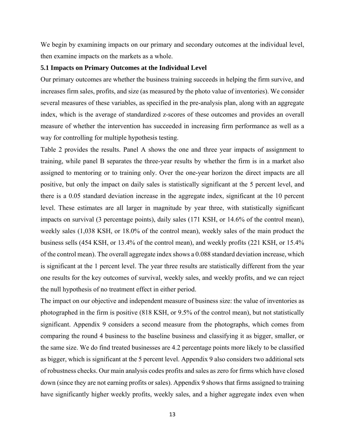We begin by examining impacts on our primary and secondary outcomes at the individual level, then examine impacts on the markets as a whole.

## **5.1 Impacts on Primary Outcomes at the Individual Level**

Our primary outcomes are whether the business training succeeds in helping the firm survive, and increases firm sales, profits, and size (as measured by the photo value of inventories). We consider several measures of these variables, as specified in the pre-analysis plan, along with an aggregate index, which is the average of standardized z-scores of these outcomes and provides an overall measure of whether the intervention has succeeded in increasing firm performance as well as a way for controlling for multiple hypothesis testing.

Table 2 provides the results. Panel A shows the one and three year impacts of assignment to training, while panel B separates the three-year results by whether the firm is in a market also assigned to mentoring or to training only. Over the one-year horizon the direct impacts are all positive, but only the impact on daily sales is statistically significant at the 5 percent level, and there is a 0.05 standard deviation increase in the aggregate index, significant at the 10 percent level. These estimates are all larger in magnitude by year three, with statistically significant impacts on survival (3 percentage points), daily sales (171 KSH, or 14.6% of the control mean), weekly sales (1,038 KSH, or 18.0% of the control mean), weekly sales of the main product the business sells (454 KSH, or 13.4% of the control mean), and weekly profits (221 KSH, or 15.4% of the control mean). The overall aggregate index shows a 0.088 standard deviation increase, which is significant at the 1 percent level. The year three results are statistically different from the year one results for the key outcomes of survival, weekly sales, and weekly profits, and we can reject the null hypothesis of no treatment effect in either period.

The impact on our objective and independent measure of business size: the value of inventories as photographed in the firm is positive (818 KSH, or 9.5% of the control mean), but not statistically significant. Appendix 9 considers a second measure from the photographs, which comes from comparing the round 4 business to the baseline business and classifying it as bigger, smaller, or the same size. We do find treated businesses are 4.2 percentage points more likely to be classified as bigger, which is significant at the 5 percent level. Appendix 9 also considers two additional sets of robustness checks. Our main analysis codes profits and sales as zero for firms which have closed down (since they are not earning profits or sales). Appendix 9 shows that firms assigned to training have significantly higher weekly profits, weekly sales, and a higher aggregate index even when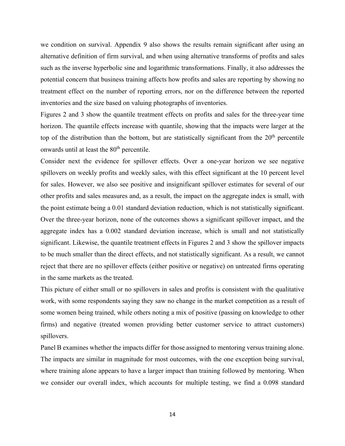we condition on survival. Appendix 9 also shows the results remain significant after using an alternative definition of firm survival, and when using alternative transforms of profits and sales such as the inverse hyperbolic sine and logarithmic transformations. Finally, it also addresses the potential concern that business training affects how profits and sales are reporting by showing no treatment effect on the number of reporting errors, nor on the difference between the reported inventories and the size based on valuing photographs of inventories.

Figures 2 and 3 show the quantile treatment effects on profits and sales for the three-year time horizon. The quantile effects increase with quantile, showing that the impacts were larger at the top of the distribution than the bottom, but are statistically significant from the  $20<sup>th</sup>$  percentile onwards until at least the 80<sup>th</sup> percentile.

Consider next the evidence for spillover effects. Over a one-year horizon we see negative spillovers on weekly profits and weekly sales, with this effect significant at the 10 percent level for sales. However, we also see positive and insignificant spillover estimates for several of our other profits and sales measures and, as a result, the impact on the aggregate index is small, with the point estimate being a 0.01 standard deviation reduction, which is not statistically significant. Over the three-year horizon, none of the outcomes shows a significant spillover impact, and the aggregate index has a 0.002 standard deviation increase, which is small and not statistically significant. Likewise, the quantile treatment effects in Figures 2 and 3 show the spillover impacts to be much smaller than the direct effects, and not statistically significant. As a result, we cannot reject that there are no spillover effects (either positive or negative) on untreated firms operating in the same markets as the treated.

This picture of either small or no spillovers in sales and profits is consistent with the qualitative work, with some respondents saying they saw no change in the market competition as a result of some women being trained, while others noting a mix of positive (passing on knowledge to other firms) and negative (treated women providing better customer service to attract customers) spillovers.

Panel B examines whether the impacts differ for those assigned to mentoring versus training alone. The impacts are similar in magnitude for most outcomes, with the one exception being survival, where training alone appears to have a larger impact than training followed by mentoring. When we consider our overall index, which accounts for multiple testing, we find a 0.098 standard

14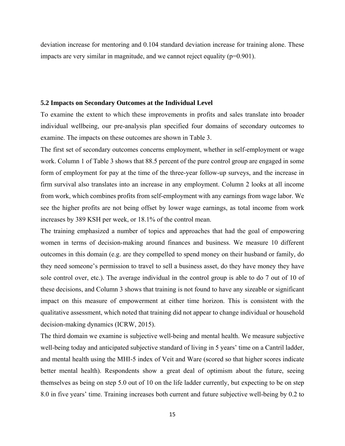deviation increase for mentoring and 0.104 standard deviation increase for training alone. These impacts are very similar in magnitude, and we cannot reject equality  $(p=0.901)$ .

## **5.2 Impacts on Secondary Outcomes at the Individual Level**

To examine the extent to which these improvements in profits and sales translate into broader individual wellbeing, our pre-analysis plan specified four domains of secondary outcomes to examine. The impacts on these outcomes are shown in Table 3.

The first set of secondary outcomes concerns employment, whether in self-employment or wage work. Column 1 of Table 3 shows that 88.5 percent of the pure control group are engaged in some form of employment for pay at the time of the three-year follow-up surveys, and the increase in firm survival also translates into an increase in any employment. Column 2 looks at all income from work, which combines profits from self-employment with any earnings from wage labor. We see the higher profits are not being offset by lower wage earnings, as total income from work increases by 389 KSH per week, or 18.1% of the control mean.

The training emphasized a number of topics and approaches that had the goal of empowering women in terms of decision-making around finances and business. We measure 10 different outcomes in this domain (e.g. are they compelled to spend money on their husband or family, do they need someone's permission to travel to sell a business asset, do they have money they have sole control over, etc.). The average individual in the control group is able to do 7 out of 10 of these decisions, and Column 3 shows that training is not found to have any sizeable or significant impact on this measure of empowerment at either time horizon. This is consistent with the qualitative assessment, which noted that training did not appear to change individual or household decision-making dynamics (ICRW, 2015).

The third domain we examine is subjective well-being and mental health. We measure subjective well-being today and anticipated subjective standard of living in 5 years' time on a Cantril ladder, and mental health using the MHI-5 index of Veit and Ware (scored so that higher scores indicate better mental health). Respondents show a great deal of optimism about the future, seeing themselves as being on step 5.0 out of 10 on the life ladder currently, but expecting to be on step 8.0 in five years' time. Training increases both current and future subjective well-being by 0.2 to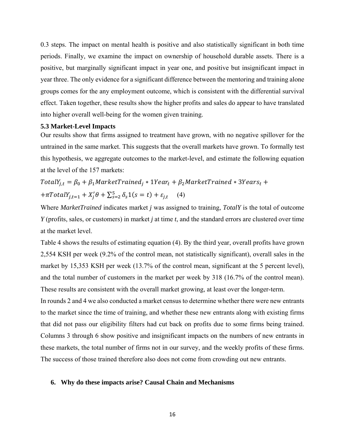0.3 steps. The impact on mental health is positive and also statistically significant in both time periods. Finally, we examine the impact on ownership of household durable assets. There is a positive, but marginally significant impact in year one, and positive but insignificant impact in year three. The only evidence for a significant difference between the mentoring and training alone groups comes for the any employment outcome, which is consistent with the differential survival effect. Taken together, these results show the higher profits and sales do appear to have translated into higher overall well-being for the women given training.

## **5.3 Market-Level Impacts**

Our results show that firms assigned to treatment have grown, with no negative spillover for the untrained in the same market. This suggests that the overall markets have grown. To formally test this hypothesis, we aggregate outcomes to the market-level, and estimate the following equation at the level of the 157 markets:

 $TotalY_{j,t} = \beta_0 + \beta_1 MarketTriangle_j * 1Year_t + \beta_2 MarketTriangle_i * 3Year_s_t +$  $+\pi TotalY_{j,t=1} + X'_j \theta + \sum_{s=2}^5 \delta_s 1(s=t) + \varepsilon_{j,t}$  (4)

Where *MarketTrained* indicates market *j* was assigned to training, *TotalY* is the total of outcome *Y* (profits, sales, or customers) in market *j* at time *t*, and the standard errors are clustered over time at the market level.

Table 4 shows the results of estimating equation (4). By the third year, overall profits have grown 2,554 KSH per week (9.2% of the control mean, not statistically significant), overall sales in the market by 15,353 KSH per week (13.7% of the control mean, significant at the 5 percent level), and the total number of customers in the market per week by 318 (16.7% of the control mean). These results are consistent with the overall market growing, at least over the longer-term.

In rounds 2 and 4 we also conducted a market census to determine whether there were new entrants to the market since the time of training, and whether these new entrants along with existing firms that did not pass our eligibility filters had cut back on profits due to some firms being trained. Columns 3 through 6 show positive and insignificant impacts on the numbers of new entrants in these markets, the total number of firms not in our survey, and the weekly profits of these firms. The success of those trained therefore also does not come from crowding out new entrants.

## **6. Why do these impacts arise? Causal Chain and Mechanisms**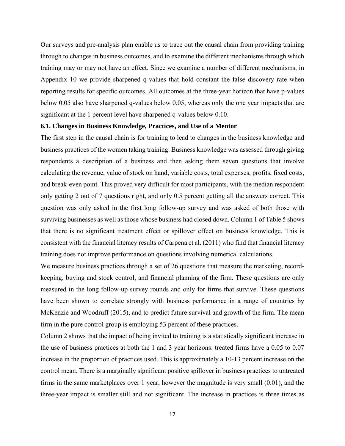Our surveys and pre-analysis plan enable us to trace out the causal chain from providing training through to changes in business outcomes, and to examine the different mechanisms through which training may or may not have an effect. Since we examine a number of different mechanisms, in Appendix 10 we provide sharpened q-values that hold constant the false discovery rate when reporting results for specific outcomes. All outcomes at the three-year horizon that have p-values below 0.05 also have sharpened q-values below 0.05, whereas only the one year impacts that are significant at the 1 percent level have sharpened q-values below 0.10.

## **6.1. Changes in Business Knowledge, Practices, and Use of a Mentor**

The first step in the causal chain is for training to lead to changes in the business knowledge and business practices of the women taking training. Business knowledge was assessed through giving respondents a description of a business and then asking them seven questions that involve calculating the revenue, value of stock on hand, variable costs, total expenses, profits, fixed costs, and break-even point. This proved very difficult for most participants, with the median respondent only getting 2 out of 7 questions right, and only 0.5 percent getting all the answers correct. This question was only asked in the first long follow-up survey and was asked of both those with surviving businesses as well as those whose business had closed down. Column 1 of Table 5 shows that there is no significant treatment effect or spillover effect on business knowledge. This is consistent with the financial literacy results of Carpena et al. (2011) who find that financial literacy training does not improve performance on questions involving numerical calculations.

We measure business practices through a set of 26 questions that measure the marketing, recordkeeping, buying and stock control, and financial planning of the firm. These questions are only measured in the long follow-up survey rounds and only for firms that survive. These questions have been shown to correlate strongly with business performance in a range of countries by McKenzie and Woodruff (2015), and to predict future survival and growth of the firm. The mean firm in the pure control group is employing 53 percent of these practices.

Column 2 shows that the impact of being invited to training is a statistically significant increase in the use of business practices at both the 1 and 3 year horizons: treated firms have a 0.05 to 0.07 increase in the proportion of practices used. This is approximately a 10-13 percent increase on the control mean. There is a marginally significant positive spillover in business practices to untreated firms in the same marketplaces over 1 year, however the magnitude is very small (0.01), and the three-year impact is smaller still and not significant. The increase in practices is three times as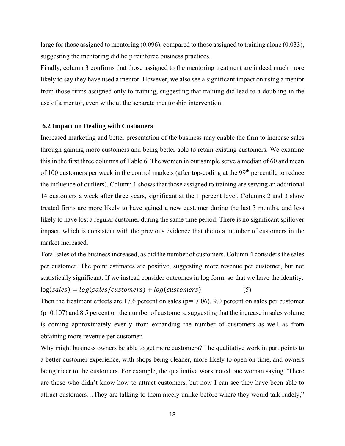large for those assigned to mentoring (0.096), compared to those assigned to training alone (0.033), suggesting the mentoring did help reinforce business practices.

Finally, column 3 confirms that those assigned to the mentoring treatment are indeed much more likely to say they have used a mentor. However, we also see a significant impact on using a mentor from those firms assigned only to training, suggesting that training did lead to a doubling in the use of a mentor, even without the separate mentorship intervention.

#### **6.2 Impact on Dealing with Customers**

Increased marketing and better presentation of the business may enable the firm to increase sales through gaining more customers and being better able to retain existing customers. We examine this in the first three columns of Table 6. The women in our sample serve a median of 60 and mean of 100 customers per week in the control markets (after top-coding at the 99<sup>th</sup> percentile to reduce the influence of outliers). Column 1 shows that those assigned to training are serving an additional 14 customers a week after three years, significant at the 1 percent level. Columns 2 and 3 show treated firms are more likely to have gained a new customer during the last 3 months, and less likely to have lost a regular customer during the same time period. There is no significant spillover impact, which is consistent with the previous evidence that the total number of customers in the market increased.

Total sales of the business increased, as did the number of customers. Column 4 considers the sales per customer. The point estimates are positive, suggesting more revenue per customer, but not statistically significant. If we instead consider outcomes in log form, so that we have the identity:

 $log(sales) = log(sales/customers) + log(customers)$  (5)

Then the treatment effects are 17.6 percent on sales ( $p=0.006$ ), 9.0 percent on sales per customer (p=0.107) and 8.5 percent on the number of customers, suggesting that the increase in sales volume is coming approximately evenly from expanding the number of customers as well as from obtaining more revenue per customer.

Why might business owners be able to get more customers? The qualitative work in part points to a better customer experience, with shops being cleaner, more likely to open on time, and owners being nicer to the customers. For example, the qualitative work noted one woman saying "There are those who didn't know how to attract customers, but now I can see they have been able to attract customers…They are talking to them nicely unlike before where they would talk rudely,"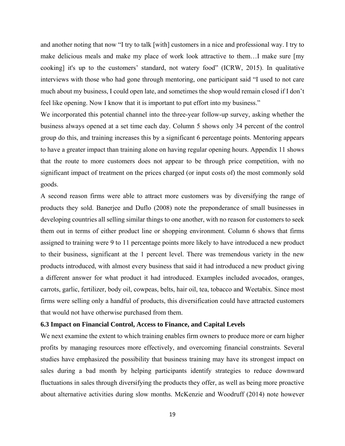and another noting that now "I try to talk [with] customers in a nice and professional way. I try to make delicious meals and make my place of work look attractive to them…I make sure [my cooking] it's up to the customers' standard, not watery food" (ICRW, 2015). In qualitative interviews with those who had gone through mentoring, one participant said "I used to not care much about my business, I could open late, and sometimes the shop would remain closed if I don't feel like opening. Now I know that it is important to put effort into my business."

We incorporated this potential channel into the three-year follow-up survey, asking whether the business always opened at a set time each day. Column 5 shows only 34 percent of the control group do this, and training increases this by a significant 6 percentage points. Mentoring appears to have a greater impact than training alone on having regular opening hours. Appendix 11 shows that the route to more customers does not appear to be through price competition, with no significant impact of treatment on the prices charged (or input costs of) the most commonly sold goods.

A second reason firms were able to attract more customers was by diversifying the range of products they sold. Banerjee and Duflo (2008) note the preponderance of small businesses in developing countries all selling similar things to one another, with no reason for customers to seek them out in terms of either product line or shopping environment. Column 6 shows that firms assigned to training were 9 to 11 percentage points more likely to have introduced a new product to their business, significant at the 1 percent level. There was tremendous variety in the new products introduced, with almost every business that said it had introduced a new product giving a different answer for what product it had introduced. Examples included avocados, oranges, carrots, garlic, fertilizer, body oil, cowpeas, belts, hair oil, tea, tobacco and Weetabix. Since most firms were selling only a handful of products, this diversification could have attracted customers that would not have otherwise purchased from them.

## **6.3 Impact on Financial Control, Access to Finance, and Capital Levels**

We next examine the extent to which training enables firm owners to produce more or earn higher profits by managing resources more effectively, and overcoming financial constraints. Several studies have emphasized the possibility that business training may have its strongest impact on sales during a bad month by helping participants identify strategies to reduce downward fluctuations in sales through diversifying the products they offer, as well as being more proactive about alternative activities during slow months. McKenzie and Woodruff (2014) note however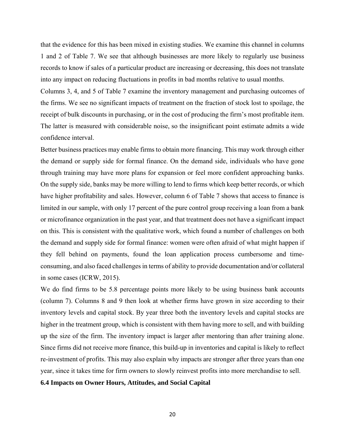that the evidence for this has been mixed in existing studies. We examine this channel in columns 1 and 2 of Table 7. We see that although businesses are more likely to regularly use business records to know if sales of a particular product are increasing or decreasing, this does not translate into any impact on reducing fluctuations in profits in bad months relative to usual months.

Columns 3, 4, and 5 of Table 7 examine the inventory management and purchasing outcomes of the firms. We see no significant impacts of treatment on the fraction of stock lost to spoilage, the receipt of bulk discounts in purchasing, or in the cost of producing the firm's most profitable item. The latter is measured with considerable noise, so the insignificant point estimate admits a wide confidence interval.

Better business practices may enable firms to obtain more financing. This may work through either the demand or supply side for formal finance. On the demand side, individuals who have gone through training may have more plans for expansion or feel more confident approaching banks. On the supply side, banks may be more willing to lend to firms which keep better records, or which have higher profitability and sales. However, column 6 of Table 7 shows that access to finance is limited in our sample, with only 17 percent of the pure control group receiving a loan from a bank or microfinance organization in the past year, and that treatment does not have a significant impact on this. This is consistent with the qualitative work, which found a number of challenges on both the demand and supply side for formal finance: women were often afraid of what might happen if they fell behind on payments, found the loan application process cumbersome and timeconsuming, and also faced challenges in terms of ability to provide documentation and/or collateral in some cases (ICRW, 2015).

We do find firms to be 5.8 percentage points more likely to be using business bank accounts (column 7). Columns 8 and 9 then look at whether firms have grown in size according to their inventory levels and capital stock. By year three both the inventory levels and capital stocks are higher in the treatment group, which is consistent with them having more to sell, and with building up the size of the firm. The inventory impact is larger after mentoring than after training alone. Since firms did not receive more finance, this build-up in inventories and capital is likely to reflect re-investment of profits. This may also explain why impacts are stronger after three years than one year, since it takes time for firm owners to slowly reinvest profits into more merchandise to sell.

## **6.4 Impacts on Owner Hours, Attitudes, and Social Capital**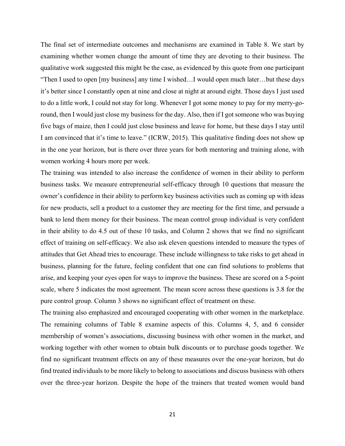The final set of intermediate outcomes and mechanisms are examined in Table 8. We start by examining whether women change the amount of time they are devoting to their business. The qualitative work suggested this might be the case, as evidenced by this quote from one participant "Then I used to open [my business] any time I wished…I would open much later…but these days it's better since I constantly open at nine and close at night at around eight. Those days I just used to do a little work, I could not stay for long. Whenever I got some money to pay for my merry-goround, then I would just close my business for the day. Also, then if I got someone who was buying five bags of maize, then I could just close business and leave for home, but these days I stay until I am convinced that it's time to leave." (ICRW, 2015). This qualitative finding does not show up in the one year horizon, but is there over three years for both mentoring and training alone, with women working 4 hours more per week.

The training was intended to also increase the confidence of women in their ability to perform business tasks. We measure entrepreneurial self-efficacy through 10 questions that measure the owner's confidence in their ability to perform key business activities such as coming up with ideas for new products, sell a product to a customer they are meeting for the first time, and persuade a bank to lend them money for their business. The mean control group individual is very confident in their ability to do 4.5 out of these 10 tasks, and Column 2 shows that we find no significant effect of training on self-efficacy. We also ask eleven questions intended to measure the types of attitudes that Get Ahead tries to encourage. These include willingness to take risks to get ahead in business, planning for the future, feeling confident that one can find solutions to problems that arise, and keeping your eyes open for ways to improve the business. These are scored on a 5-point scale, where 5 indicates the most agreement. The mean score across these questions is 3.8 for the pure control group. Column 3 shows no significant effect of treatment on these.

The training also emphasized and encouraged cooperating with other women in the marketplace. The remaining columns of Table 8 examine aspects of this. Columns 4, 5, and 6 consider membership of women's associations, discussing business with other women in the market, and working together with other women to obtain bulk discounts or to purchase goods together. We find no significant treatment effects on any of these measures over the one-year horizon, but do find treated individuals to be more likely to belong to associations and discuss business with others over the three-year horizon. Despite the hope of the trainers that treated women would band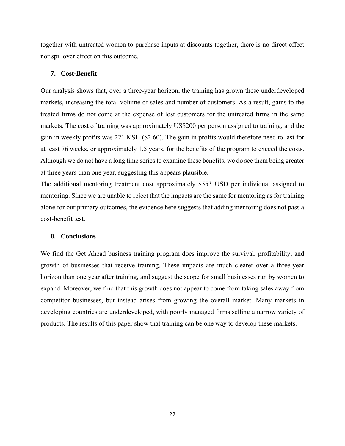together with untreated women to purchase inputs at discounts together, there is no direct effect nor spillover effect on this outcome.

## **7. Cost-Benefit**

Our analysis shows that, over a three-year horizon, the training has grown these underdeveloped markets, increasing the total volume of sales and number of customers. As a result, gains to the treated firms do not come at the expense of lost customers for the untreated firms in the same markets. The cost of training was approximately US\$200 per person assigned to training, and the gain in weekly profits was 221 KSH (\$2.60). The gain in profits would therefore need to last for at least 76 weeks, or approximately 1.5 years, for the benefits of the program to exceed the costs. Although we do not have a long time series to examine these benefits, we do see them being greater at three years than one year, suggesting this appears plausible.

The additional mentoring treatment cost approximately \$553 USD per individual assigned to mentoring. Since we are unable to reject that the impacts are the same for mentoring as for training alone for our primary outcomes, the evidence here suggests that adding mentoring does not pass a cost-benefit test.

## **8. Conclusions**

We find the Get Ahead business training program does improve the survival, profitability, and growth of businesses that receive training. These impacts are much clearer over a three-year horizon than one year after training, and suggest the scope for small businesses run by women to expand. Moreover, we find that this growth does not appear to come from taking sales away from competitor businesses, but instead arises from growing the overall market. Many markets in developing countries are underdeveloped, with poorly managed firms selling a narrow variety of products. The results of this paper show that training can be one way to develop these markets.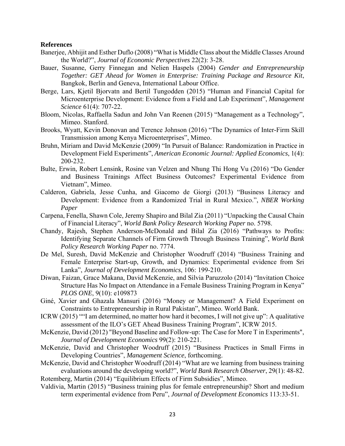## **References**

- Banerjee, Abhijit and Esther Duflo (2008) "What is Middle Class about the Middle Classes Around the World?", *Journal of Economic Perspectives* 22(2): 3-28.
- Bauer, Susanne, Gerry Finnegan and Nelien Haspels (2004) *Gender and Entrepreneurship Together: GET Ahead for Women in Enterprise: Training Package and Resource Kit*, Bangkok, Berlin and Geneva, International Labour Office.
- Berge, Lars, Kjetil Bjorvatn and Bertil Tungodden (2015) "Human and Financial Capital for Microenterprise Development: Evidence from a Field and Lab Experiment", *Management Science* 61(4): 707-22.
- Bloom, Nicolas, Raffaella Sadun and John Van Reenen (2015) "Management as a Technology", Mimeo. Stanford.
- Brooks, Wyatt, Kevin Donovan and Terence Johnson (2016) "The Dynamics of Inter-Firm Skill Transmission among Kenya Microenterprises", Mimeo.
- Bruhn, Miriam and David McKenzie (2009) "In Pursuit of Balance: Randomization in Practice in Development Field Experiments", *American Economic Journal: Applied Economics*, 1(4): 200-232.
- Bulte, Erwin, Robert Lensink, Rosine van Velzen and Nhung Thi Hong Vu (2016) "Do Gender and Business Trainings Affect Business Outcomes? Experimental Evidence from Vietnam", Mimeo.
- Calderon, Gabriela, Jesse Cunha, and Giacomo de Giorgi (2013) "Business Literacy and Development: Evidence from a Randomized Trial in Rural Mexico.", *NBER Working Paper*
- Carpena, Fenella, Shawn Cole, Jeremy Shapiro and Bilal Zia (2011) "Unpacking the Causal Chain of Financial Literacy", *World Bank Policy Research Working Paper* no. 5798.
- Chandy, Rajesh, Stephen Anderson-McDonald and Bilal Zia (2016) "Pathways to Profits: Identifying Separate Channels of Firm Growth Through Business Training", *World Bank Policy Research Working Paper* no. 7774.
- De Mel, Suresh, David McKenzie and Christopher Woodruff (2014) "Business Training and Female Enterprise Start-up, Growth, and Dynamics: Experimental evidence from Sri Lanka", *Journal of Development Economics*, 106: 199-210.
- Diwan, Faizan, Grace Makana, David McKenzie, and Silvia Paruzzolo (2014) "Invitation Choice Structure Has No Impact on Attendance in a Female Business Training Program in Kenya" *PLOS ONE*, 9(10): e109873
- Giné, Xavier and Ghazala Mansuri (2016) "Money or Management? A Field Experiment on Constraints to Entrepreneurship in Rural Pakistan", Mimeo. World Bank.
- ICRW (2015) ""I am determined, no matter how hard it becomes, I will not give up": A qualitative assessment of the ILO's GET Ahead Business Training Program", ICRW 2015.
- McKenzie, David (2012) "Beyond Baseline and Follow-up: The Case for More T in Experiments", *Journal of Development Economics* 99(2): 210-221.
- McKenzie, David and Christopher Woodruff (2015) "Business Practices in Small Firms in Developing Countries", *Management Science*, forthcoming.
- McKenzie, David and Christopher Woodruff (2014) "What are we learning from business training evaluations around the developing world?", *World Bank Research Observer*, 29(1): 48-82. Rotemberg, Martin (2014) "Equilibrium Effects of Firm Subsidies", Mimeo.
- Valdivia, Martin (2015) "Business training plus for female entrepreneurship? Short and medium term experimental evidence from Peru", *Journal of Development Economics* 113:33-51.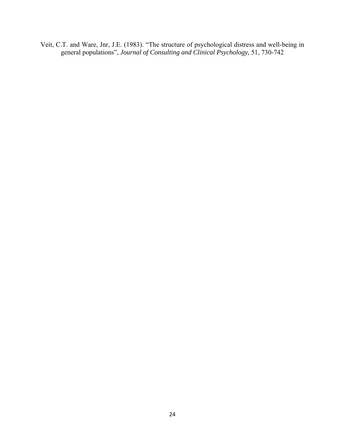Veit, C.T. and Ware, Jnr, J.E. (1983). "The structure of psychological distress and well-being in general populations", *Journal of Consulting and Clinical Psychology*, 51, 730-742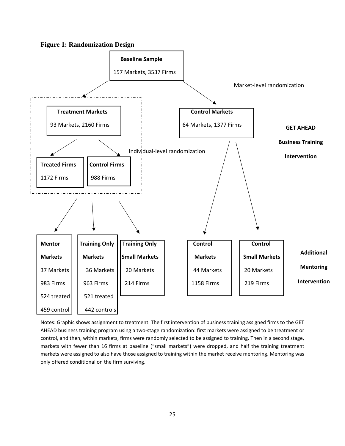



Notes: Graphic shows assignment to treatment. The first intervention of business training assigned firms to the GET AHEAD business training program using a two‐stage randomization: first markets were assigned to be treatment or control, and then, within markets, firms were randomly selected to be assigned to training. Then in a second stage, markets with fewer than 16 firms at baseline ("small markets") were dropped, and half the training treatment markets were assigned to also have those assigned to training within the market receive mentoring. Mentoring was only offered conditional on the firm surviving.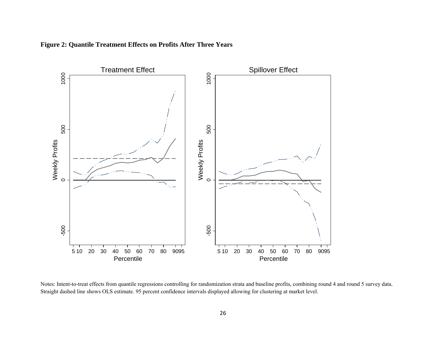

**Figure 2: Quantile Treatment Effects on Profits After Three Years** 

Notes: Intent-to-treat effects from quantile regressions controlling for randomization strata and baseline profits, combining round 4 and round 5 survey data. Straight dashed line shows OLS estimate. 95 percent confidence intervals displayed allowing for clustering at market level.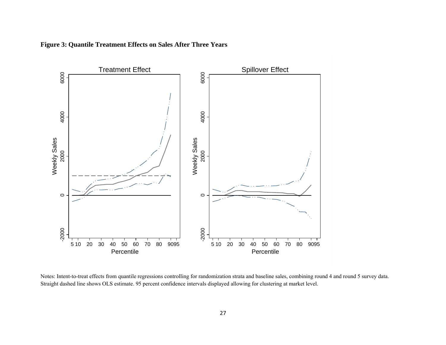

**Figure 3: Quantile Treatment Effects on Sales After Three Years**

Notes: Intent-to-treat effects from quantile regressions controlling for randomization strata and baseline sales, combining round 4 and round 5 survey data. Straight dashed line shows OLS estimate. 95 percent confidence intervals displayed allowing for clustering at market level.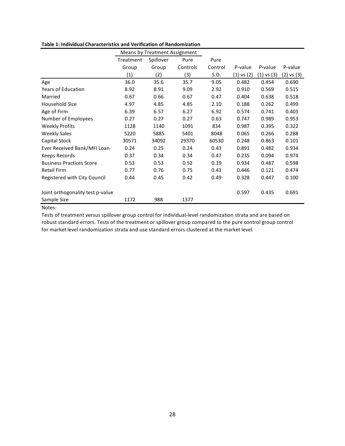|                                  |           | Means by Treatment Assignment |          |         |            |                |            |
|----------------------------------|-----------|-------------------------------|----------|---------|------------|----------------|------------|
|                                  | Treatment | Spillover                     | Pure     | Pure    |            |                |            |
|                                  | Group     | Group                         | Controls | Control | P-value    | P-value        | P-value    |
|                                  | (1)       | (2)                           | (3)      | S.D.    | (1) vs (2) | $(1)$ vs $(3)$ | (2) vs (3) |
| Age                              | 36.0      | 35.6                          | 35.7     | 9.05    | 0.482      | 0.454          | 0.690      |
| <b>Years of Education</b>        | 8.92      | 8.91                          | 9.09     | 2.92    | 0.910      | 0.569          | 0.515      |
| Married                          | 0.67      | 0.66                          | 0.67     | 0.47    | 0.404      | 0.638          | 0.518      |
| Household Size                   | 4.97      | 4.85                          | 4.85     | 2.10    | 0.188      | 0.262          | 0.499      |
| Age of Firm                      | 6.39      | 6.57                          | 6.27     | 6.92    | 0.574      | 0.741          | 0.403      |
| Number of Employees              | 0.27      | 0.27                          | 0.27     | 0.63    | 0.747      | 0.989          | 0.953      |
| <b>Weekly Profits</b>            | 1128      | 1140                          | 1091     | 834     | 0.987      | 0.395          | 0.322      |
| <b>Weekly Sales</b>              | 5220      | 5885                          | 5401     | 8048    | 0.065      | 0.266          | 0.288      |
| Capital Stock                    | 30571     | 34092                         | 29370    | 60530   | 0.248      | 0.863          | 0.101      |
| Ever Received Bank/MFI Loan      | 0.24      | 0.25                          | 0.24     | 0.43    | 0.891      | 0.482          | 0.934      |
| Keeps Records                    | 0.37      | 0.34                          | 0.34     | 0.47    | 0.235      | 0.094          | 0.974      |
| <b>Business Practices Score</b>  | 0.53      | 0.53                          | 0.52     | 0.19    | 0.934      | 0.487          | 0.598      |
| <b>Retail Firm</b>               | 0.77      | 0.76                          | 0.75     | 0.43    | 0.446      | 0.121          | 0.474      |
| Registered with City Council     | 0.44      | 0.45                          | 0.42     | 0.49    | 0.328      | 0.447          | 0.100      |
| Joint orthogonality test p-value |           |                               |          |         | 0.597      | 0.435          | 0.691      |
| Sample Size                      | 1172      | 988                           | 1377     |         |            |                |            |

#### **Table 1: Individual Characteristics and Verification of Randomization**

Notes:

Tests of treatment versus spillover group control for individual‐level randomization strata and are based on robust standard errors. Tests of the treatment or spillover group compared to the pure control group control for market level randomization strata and use standard errors clustered at the market level.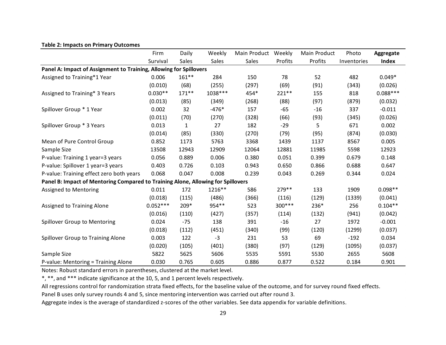|                                                                                  | Firm       | Daily    | Weekly  | Main Product | Weekly  | Main Product | Photo       | Aggregate    |
|----------------------------------------------------------------------------------|------------|----------|---------|--------------|---------|--------------|-------------|--------------|
|                                                                                  | Survival   | Sales    | Sales   | Sales        | Profits | Profits      | Inventories | <b>Index</b> |
| Panel A: Impact of Assignment to Training, Allowing for Spillovers               |            |          |         |              |         |              |             |              |
| Assigned to Training*1 Year                                                      | 0.006      | $161**$  | 284     | 150          | 78      | 52           | 482         | $0.049*$     |
|                                                                                  | (0.010)    | (68)     | (255)   | (297)        | (69)    | (91)         | (343)       | (0.026)      |
| Assigned to Training* 3 Years                                                    | $0.030**$  | $171***$ | 1038*** | 454*         | 221 **  | 155          | 818         | $0.088***$   |
|                                                                                  | (0.013)    | (85)     | (349)   | (268)        | (88)    | (97)         | (879)       | (0.032)      |
| Spillover Group * 1 Year                                                         | 0.002      | 32       | $-476*$ | 157          | $-65$   | $-16$        | 337         | $-0.011$     |
|                                                                                  | (0.011)    | (70)     | (270)   | (328)        | (66)    | (93)         | (345)       | (0.026)      |
| Spillover Group * 3 Years                                                        | 0.013      | 1        | 27      | 182          | $-29$   | 5.           | 671         | 0.002        |
|                                                                                  | (0.014)    | (85)     | (330)   | (270)        | (79)    | (95)         | (874)       | (0.030)      |
| Mean of Pure Control Group                                                       | 0.852      | 1173     | 5763    | 3368         | 1439    | 1137         | 8567        | 0.005        |
| Sample Size                                                                      | 13508      | 12943    | 12909   | 12064        | 12881   | 11985        | 5598        | 12923        |
| P-value: Training 1 year=3 years                                                 | 0.056      | 0.889    | 0.006   | 0.380        | 0.051   | 0.399        | 0.679       | 0.148        |
| P-value: Spillover 1 year=3 years                                                | 0.403      | 0.726    | 0.103   | 0.943        | 0.650   | 0.866        | 0.688       | 0.647        |
| P-value: Training effect zero both years                                         | 0.068      | 0.047    | 0.008   | 0.239        | 0.043   | 0.269        | 0.344       | 0.024        |
| Panel B: Impact of Mentoring Compared to Training Alone, Allowing for Spillovers |            |          |         |              |         |              |             |              |
| Assigned to Mentoring                                                            | 0.011      | 172      | 1216**  | 586          | 279 **  | 133          | 1909        | $0.098**$    |
|                                                                                  | (0.018)    | (115)    | (486)   | (366)        | (116)   | (129)        | (1339)      | (0.041)      |
| Assigned to Training Alone                                                       | $0.052***$ | 209*     | 954 **  | 523          | 300***  | 236*         | 256         | $0.104**$    |
|                                                                                  | (0.016)    | (110)    | (427)   | (357)        | (114)   | (132)        | (941)       | (0.042)      |
| Spillover Group to Mentoring                                                     | 0.024      | $-75$    | 138     | 391          | $-16$   | 27           | 1972        | $-0.001$     |
|                                                                                  | (0.018)    | (112)    | (451)   | (340)        | (99)    | (120)        | (1299)      | (0.037)      |
| Spillover Group to Training Alone                                                | 0.003      | 122      | $-3$    | 231          | 53      | 69           | $-192$      | 0.034        |
|                                                                                  | (0.020)    | (105)    | (401)   | (380)        | (97)    | (129)        | (1095)      | (0.037)      |
| Sample Size                                                                      | 5822       | 5625     | 5606    | 5535         | 5591    | 5530         | 2655        | 5608         |
| P-value: Mentoring = Training Alone                                              | 0.030      | 0.765    | 0.605   | 0.886        | 0.877   | 0.522        | 0.184       | 0.901        |

#### **Table 2: Impacts on Primary Outcomes**

Notes: Robust standard errors in parentheses, clustered at the market level.

\*, \*\*, and \*\*\* indicate significance at the 10, 5, and 1 percent levels respectively.

All regressions control for randomization strata fixed effects, for the baseline value of the outcome, and for survey round fixed effects.

Panel B uses only survey rounds 4 and 5, since mentoring intervention was carried out after round 3.

Aggregate index is the average of standardized z-scores of the other variables. See data appendix for variable definitions.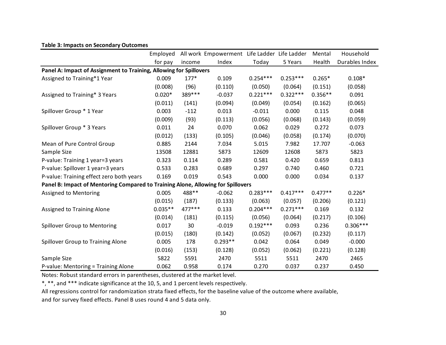|                                                                                  | Employed  |         | All work Empowerment Life Ladder Life Ladder |            |            | Mental    | Household      |
|----------------------------------------------------------------------------------|-----------|---------|----------------------------------------------|------------|------------|-----------|----------------|
|                                                                                  | for pay   | income  | Index                                        | Today      | 5 Years    | Health    | Durables Index |
| Panel A: Impact of Assignment to Training, Allowing for Spillovers               |           |         |                                              |            |            |           |                |
| Assigned to Training*1 Year                                                      | 0.009     | $177*$  | 0.109                                        | $0.254***$ | $0.253***$ | $0.265*$  | $0.108*$       |
|                                                                                  | (0.008)   | (96)    | (0.110)                                      | (0.050)    | (0.064)    | (0.151)   | (0.058)        |
| Assigned to Training* 3 Years                                                    | $0.020*$  | 389 *** | $-0.037$                                     | $0.221***$ | $0.322***$ | $0.356**$ | 0.091          |
|                                                                                  | (0.011)   | (141)   | (0.094)                                      | (0.049)    | (0.054)    | (0.162)   | (0.065)        |
| Spillover Group * 1 Year                                                         | 0.003     | $-112$  | 0.013                                        | $-0.011$   | 0.000      | 0.115     | 0.048          |
|                                                                                  | (0.009)   | (93)    | (0.113)                                      | (0.056)    | (0.068)    | (0.143)   | (0.059)        |
| Spillover Group * 3 Years                                                        | 0.011     | 24      | 0.070                                        | 0.062      | 0.029      | 0.272     | 0.073          |
|                                                                                  | (0.012)   | (133)   | (0.105)                                      | (0.046)    | (0.058)    | (0.174)   | (0.070)        |
| Mean of Pure Control Group                                                       | 0.885     | 2144    | 7.034                                        | 5.015      | 7.982      | 17.707    | $-0.063$       |
| Sample Size                                                                      | 13508     | 12881   | 5873                                         | 12609      | 12608      | 5873      | 5823           |
| P-value: Training 1 year=3 years                                                 | 0.323     | 0.114   | 0.289                                        | 0.581      | 0.420      | 0.659     | 0.813          |
| P-value: Spillover 1 year=3 years                                                | 0.533     | 0.283   | 0.689                                        | 0.297      | 0.740      | 0.460     | 0.721          |
| P-value: Training effect zero both years                                         | 0.169     | 0.019   | 0.543                                        | 0.000      | 0.000      | 0.034     | 0.137          |
| Panel B: Impact of Mentoring Compared to Training Alone, Allowing for Spillovers |           |         |                                              |            |            |           |                |
| Assigned to Mentoring                                                            | 0.005     | 488**   | $-0.062$                                     | $0.283***$ | $0.417***$ | $0.477**$ | $0.226*$       |
|                                                                                  | (0.015)   | (187)   | (0.133)                                      | (0.063)    | (0.057)    | (0.206)   | (0.121)        |
| Assigned to Training Alone                                                       | $0.035**$ | 477***  | 0.133                                        | $0.204***$ | $0.271***$ | 0.169     | 0.132          |
|                                                                                  | (0.014)   | (181)   | (0.115)                                      | (0.056)    | (0.064)    | (0.217)   | (0.106)        |
| Spillover Group to Mentoring                                                     | 0.017     | 30      | $-0.019$                                     | $0.192***$ | 0.093      | 0.236     | $0.306***$     |
|                                                                                  | (0.015)   | (180)   | (0.142)                                      | (0.052)    | (0.067)    | (0.232)   | (0.117)        |
| Spillover Group to Training Alone                                                | 0.005     | 178     | $0.293**$                                    | 0.042      | 0.064      | 0.049     | $-0.000$       |
|                                                                                  | (0.016)   | (153)   | (0.128)                                      | (0.052)    | (0.062)    | (0.221)   | (0.128)        |
| Sample Size                                                                      | 5822      | 5591    | 2470                                         | 5511       | 5511       | 2470      | 2465           |
| P-value: Mentoring = Training Alone                                              | 0.062     | 0.958   | 0.174                                        | 0.270      | 0.037      | 0.237     | 0.450          |

#### **Table 3: Impacts on Secondary Outcomes**

Notes: Robust standard errors in parentheses, clustered at the market level.

\*, \*\*, and \*\*\* indicate significance at the 10, 5, and 1 percent levels respectively.

All regressions control for randomization strata fixed effects, for the baseline value of the outcome where available, and for survey fixed effects. Panel B uses round 4 and 5 data only.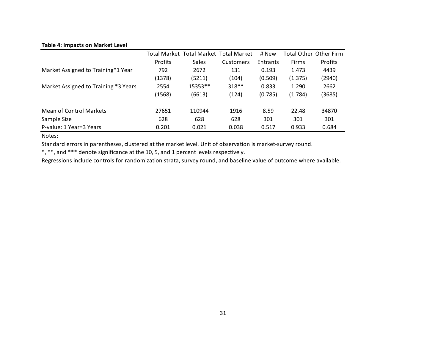#### **Table 4: Impacts on Market Level**

|                                      |         | Total Market Total Market Total Market |           | # New    |              | <b>Total Other Other Firm</b> |
|--------------------------------------|---------|----------------------------------------|-----------|----------|--------------|-------------------------------|
|                                      | Profits | <b>Sales</b>                           | Customers | Entrants | <b>Firms</b> | Profits                       |
| Market Assigned to Training*1 Year   | 792     | 2672                                   | 131       | 0.193    | 1.473        | 4439                          |
|                                      | (1378)  | (5211)                                 | (104)     | (0.509)  | (1.375)      | (2940)                        |
| Market Assigned to Training *3 Years | 2554    | 15353**                                | $318**$   | 0.833    | 1.290        | 2662                          |
|                                      | (1568)  | (6613)                                 | (124)     | (0.785)  | (1.784)      | (3685)                        |
| Mean of Control Markets              | 27651   | 110944                                 | 1916      | 8.59     | 22.48        | 34870                         |
| Sample Size                          | 628     | 628                                    | 628       | 301      | 301          | 301                           |
| P-value: 1 Year=3 Years              | 0.201   | 0.021                                  | 0.038     | 0.517    | 0.933        | 0.684                         |

Notes:

Standard errors in parentheses, clustered at the market level. Unit of observation is market‐survey round.

\*, \*\*, and \*\*\* denote significance at the 10, 5, and 1 percent levels respectively.

Regressions include controls for randomization strata, survey round, and baseline value of outcome where available.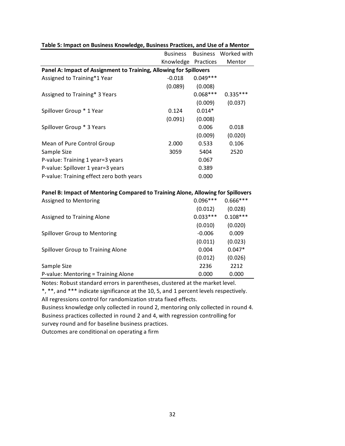| <b>Business</b> | <b>Business</b> | Worked with                                                                                                                                                         |
|-----------------|-----------------|---------------------------------------------------------------------------------------------------------------------------------------------------------------------|
|                 | Practices       | Mentor                                                                                                                                                              |
|                 |                 |                                                                                                                                                                     |
| $-0.018$        | $0.049***$      |                                                                                                                                                                     |
| (0.089)         | (0.008)         |                                                                                                                                                                     |
|                 | $0.068***$      | $0.335***$                                                                                                                                                          |
|                 | (0.009)         | (0.037)                                                                                                                                                             |
| 0.124           | $0.014*$        |                                                                                                                                                                     |
| (0.091)         | (0.008)         |                                                                                                                                                                     |
|                 | 0.006           | 0.018                                                                                                                                                               |
|                 | (0.009)         | (0.020)                                                                                                                                                             |
| 2.000           | 0.533           | 0.106                                                                                                                                                               |
| 3059            | 5404            | 2520                                                                                                                                                                |
|                 | 0.067           |                                                                                                                                                                     |
|                 | 0.389           |                                                                                                                                                                     |
|                 | 0.000           |                                                                                                                                                                     |
|                 |                 |                                                                                                                                                                     |
|                 | $0.096***$      | $0.666***$                                                                                                                                                          |
|                 | (0.012)         | (0.028)                                                                                                                                                             |
|                 | $0.033***$      | $0.108***$                                                                                                                                                          |
|                 | (0.010)         | (0.020)                                                                                                                                                             |
|                 | $-0.006$        | 0.009                                                                                                                                                               |
|                 | (0.011)         | (0.023)                                                                                                                                                             |
|                 | 0.004           | $0.047*$                                                                                                                                                            |
|                 | (0.012)         | (0.026)                                                                                                                                                             |
|                 | 2236            | 2212                                                                                                                                                                |
|                 | 0.000           | 0.000                                                                                                                                                               |
|                 |                 | Knowledge<br>Panel A: Impact of Assignment to Training, Allowing for Spillovers<br>Panel B: Impact of Mentoring Compared to Training Alone, Allowing for Spillovers |

## **Table 5: Impact on Business Knowledge, Business Practices, and Use of a Mentor**

Notes: Robust standard errors in parentheses, clustered at the market level.

\*, \*\*, and \*\*\* indicate significance at the 10, 5, and 1 percent levels respectively. All regressions control for randomization strata fixed effects.

Business knowledge only collected in round 2, mentoring only collected in round 4. Business practices collected in round 2 and 4, with regression controlling for survey round and for baseline business practices.

Outcomes are conditional on operating a firm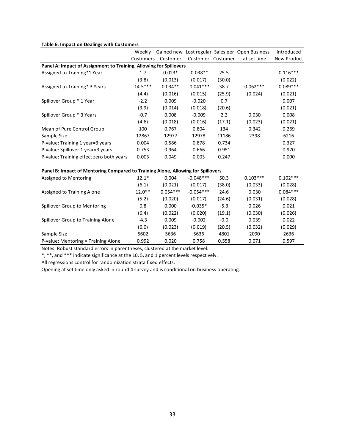#### **Table 6: Impact on Dealings with Customers**

|                                                                                  | Weekly    |            |                   |        | Gained new Lost regular Sales per Open Business | Introduced  |
|----------------------------------------------------------------------------------|-----------|------------|-------------------|--------|-------------------------------------------------|-------------|
|                                                                                  | Customers | Customer   | Customer Customer |        | at set time                                     | New Product |
| Panel A: Impact of Assignment to Training, Allowing for Spillovers               |           |            |                   |        |                                                 |             |
| Assigned to Training*1 Year                                                      | 1.7       | $0.023*$   | $-0.038**$        | 25.5   |                                                 | $0.116***$  |
|                                                                                  | (3.8)     | (0.013)    | (0.017)           | (30.0) |                                                 | (0.022)     |
| Assigned to Training* 3 Years                                                    | $14.5***$ | $0.034**$  | $-0.041***$       | 38.7   | $0.062***$                                      | $0.089***$  |
|                                                                                  | (4.4)     | (0.016)    | (0.015)           | (25.9) | (0.024)                                         | (0.021)     |
| Spillover Group * 1 Year                                                         | $-2.2$    | 0.009      | $-0.020$          | 0.7    |                                                 | 0.007       |
|                                                                                  | (3.9)     | (0.014)    | (0.018)           | (20.6) |                                                 | (0.021)     |
| Spillover Group * 3 Years                                                        | $-0.7$    | 0.008      | $-0.009$          | 2.2    | 0.030                                           | 0.008       |
|                                                                                  | (4.6)     | (0.018)    | (0.016)           | (17.1) | (0.023)                                         | (0.021)     |
| Mean of Pure Control Group                                                       | 100       | 0.767      | 0.804             | 134    | 0.342                                           | 0.269       |
| Sample Size                                                                      | 12867     | 12977      | 12978             | 11186  | 2398                                            | 6216        |
| P-value: Training 1 year=3 years                                                 | 0.004     | 0.586      | 0.878             | 0.734  |                                                 | 0.327       |
| P-value: Spillover 1 year=3 years                                                | 0.753     | 0.964      | 0.666             | 0.951  |                                                 | 0.970       |
| P-value: Training effect zero both years                                         | 0.003     | 0.049      | 0.003             | 0.247  |                                                 | 0.000       |
|                                                                                  |           |            |                   |        |                                                 |             |
| Panel B: Impact of Mentoring Compared to Training Alone, Allowing for Spillovers |           |            |                   |        |                                                 |             |
| Assigned to Mentoring                                                            | $12.1*$   | 0.004      | $-0.048***$       | 50.3   | $0.103***$                                      | $0.102***$  |
|                                                                                  | (6.1)     | (0.021)    | (0.017)           | (38.0) | (0.033)                                         | (0.028)     |
| Assigned to Training Alone                                                       | $12.0**$  | $0.054***$ | $-0.054***$       | 24.6   | 0.030                                           | $0.084***$  |
|                                                                                  | (5.2)     | (0.020)    | (0.017)           | (24.6) | (0.031)                                         | (0.028)     |
| Spillover Group to Mentoring                                                     | 0.8       | 0.000      | $-0.035*$         | $-5.3$ | 0.026                                           | 0.021       |
|                                                                                  | (6.4)     | (0.022)    | (0.020)           | (19.1) | (0.030)                                         | (0.026)     |
| Spillover Group to Training Alone                                                | $-4.3$    | 0.009      | $-0.002$          | $-0.0$ | 0.039                                           | 0.022       |
|                                                                                  | (6.0)     | (0.023)    | (0.019)           | (20.5) | (0.032)                                         | (0.029)     |
| Sample Size                                                                      | 5602      | 5636       | 5636              | 4801   | 2090                                            | 2636        |
| P-value: Mentoring = Training Alone                                              | 0.992     | 0.020      | 0.758             | 0.558  | 0.071                                           | 0.597       |

Notes: Robust standard errors in parentheses, clustered at the market level.

\*, \*\*, and \*\*\* indicate significance at the 10, 5, and 1 percent levels respectively.

All regressions control for randomization strata fixed effects.

Opening at set time only asked in round 4 survey and is conditional on business operating.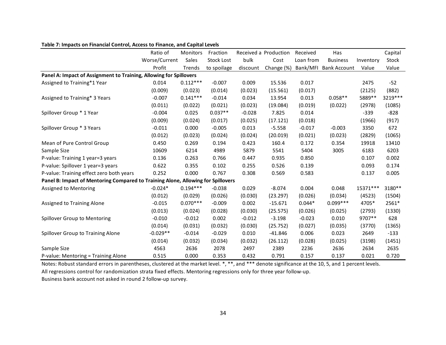|                                                                                  | Ratio of      | Monitors   | Fraction          |          | Received a Production | Received  | Has                 |           | Capital  |
|----------------------------------------------------------------------------------|---------------|------------|-------------------|----------|-----------------------|-----------|---------------------|-----------|----------|
|                                                                                  | Worse/Current | Sales      | <b>Stock Lost</b> | bulk     | Cost                  | Loan from | <b>Business</b>     | Inventory | Stock    |
|                                                                                  | Profit        | Trends     | to spoilage       | discount | Change (%)            | Bank/MFI  | <b>Bank Account</b> | Value     | Value    |
| Panel A: Impact of Assignment to Training, Allowing for Spillovers               |               |            |                   |          |                       |           |                     |           |          |
| Assigned to Training*1 Year                                                      | 0.014         | $0.112***$ | $-0.007$          | 0.009    | 15.536                | 0.017     |                     | 2475      | $-52$    |
|                                                                                  | (0.009)       | (0.023)    | (0.014)           | (0.023)  | (15.561)              | (0.017)   |                     | (2125)    | (882)    |
| Assigned to Training* 3 Years                                                    | $-0.007$      | $0.141***$ | $-0.014$          | 0.034    | 13.954                | 0.013     | $0.058**$           | 5889 **   | 3219 *** |
|                                                                                  | (0.011)       | (0.022)    | (0.021)           | (0.023)  | (19.084)              | (0.019)   | (0.022)             | (2978)    | (1085)   |
| Spillover Group * 1 Year                                                         | $-0.004$      | 0.025      | $0.037**$         | $-0.028$ | 7.825                 | 0.014     |                     | $-339$    | $-828$   |
|                                                                                  | (0.009)       | (0.024)    | (0.017)           | (0.025)  | (17.121)              | (0.018)   |                     | (1966)    | (917)    |
| Spillover Group * 3 Years                                                        | $-0.011$      | 0.000      | $-0.005$          | 0.013    | $-5.558$              | $-0.017$  | $-0.003$            | 3350      | 672      |
|                                                                                  | (0.012)       | (0.023)    | (0.024)           | (0.024)  | (20.019)              | (0.021)   | (0.023)             | (2829)    | (1065)   |
| Mean of Pure Control Group                                                       | 0.450         | 0.269      | 0.194             | 0.423    | 160.4                 | 0.172     | 0.354               | 19918     | 13410    |
| Sample Size                                                                      | 10609         | 6214       | 4989              | 5879     | 5541                  | 5404      | 3005                | 6183      | 6203     |
| P-value: Training 1 year=3 years                                                 | 0.136         | 0.263      | 0.766             | 0.447    | 0.935                 | 0.850     |                     | 0.107     | 0.002    |
| P-value: Spillover 1 year=3 years                                                | 0.622         | 0.355      | 0.102             | 0.255    | 0.526                 | 0.139     |                     | 0.093     | 0.174    |
| P-value: Training effect zero both years                                         | 0.252         | 0.000      | 0.767             | 0.308    | 0.569                 | 0.583     |                     | 0.137     | 0.005    |
| Panel B: Impact of Mentoring Compared to Training Alone, Allowing for Spillovers |               |            |                   |          |                       |           |                     |           |          |
| Assigned to Mentoring                                                            | $-0.024*$     | $0.194***$ | $-0.038$          | 0.029    | $-8.074$              | 0.004     | 0.048               | 15371 *** | 3180**   |
|                                                                                  | (0.012)       | (0.029)    | (0.026)           | (0.030)  | (23.297)              | (0.026)   | (0.034)             | (4523)    | (1504)   |
| Assigned to Training Alone                                                       | $-0.015$      | $0.070***$ | $-0.009$          | 0.002    | $-15.671$             | $0.044*$  | $0.099***$          | 4705*     | 2561*    |
|                                                                                  | (0.013)       | (0.024)    | (0.028)           | (0.030)  | (25.575)              | (0.026)   | (0.025)             | (2793)    | (1330)   |
| Spillover Group to Mentoring                                                     | $-0.010$      | $-0.012$   | 0.002             | $-0.012$ | $-3.198$              | $-0.023$  | 0.010               | 9707**    | 628      |
|                                                                                  | (0.014)       | (0.031)    | (0.032)           | (0.030)  | (25.752)              | (0.027)   | (0.035)             | (3770)    | (1365)   |
| Spillover Group to Training Alone                                                | $-0.029**$    | $-0.014$   | $-0.029$          | 0.010    | $-41.846$             | 0.006     | 0.023               | 2649      | $-133$   |
|                                                                                  | (0.014)       | (0.032)    | (0.034)           | (0.032)  | (26.112)              | (0.028)   | (0.025)             | (3198)    | (1451)   |
| Sample Size                                                                      | 4563          | 2636       | 2078              | 2497     | 2389                  | 2236      | 2636                | 2634      | 2635     |
| P-value: Mentoring = Training Alone                                              | 0.515         | 0.000      | 0.353             | 0.432    | 0.791                 | 0.157     | 0.137               | 0.021     | 0.720    |

#### **Table 7: Impacts on Financial Control, Access to Finance, and Capital Levels**

Notes: Robust standard errors in parentheses, clustered at the market level. \*, \*\*, and \*\*\* denote significance at the 10, 5, and 1 percent levels.

All regressions control for randomization strata fixed effects. Mentoring regressions only for three year follow‐up.

Business bank account not asked in round 2 follow‐up survey.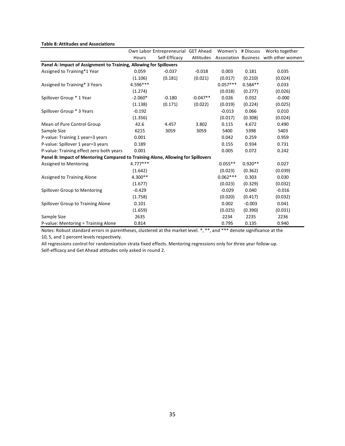#### **Table 8: Attitudes and Associations**

|                                                                                  |            | Own Labor Entrepreneurial GET Ahead |            | Women's # Discuss |           | Works together                        |
|----------------------------------------------------------------------------------|------------|-------------------------------------|------------|-------------------|-----------|---------------------------------------|
|                                                                                  | Hours      | Self-Efficacy                       | Attitudes  |                   |           | Association Business with other women |
| Panel A: Impact of Assignment to Training, Allowing for Spillovers               |            |                                     |            |                   |           |                                       |
| Assigned to Training*1 Year                                                      | 0.059      | $-0.037$                            | $-0.018$   | 0.003             | 0.181     | 0.035                                 |
|                                                                                  | (1.106)    | (0.181)                             | (0.021)    | (0.017)           | (0.210)   | (0.024)                               |
| Assigned to Training* 3 Years                                                    | 4.596***   |                                     |            | $0.057***$        | $0.584**$ | 0.033                                 |
|                                                                                  | (1.274)    |                                     |            | (0.018)           | (0.277)   | (0.026)                               |
| Spillover Group * 1 Year                                                         | $-2.060*$  | $-0.180$                            | $-0.047**$ | 0.026             | 0.032     | $-0.000$                              |
|                                                                                  | (1.138)    | (0.171)                             | (0.022)    | (0.019)           | (0.224)   | (0.025)                               |
| Spillover Group * 3 Years                                                        | $-0.192$   |                                     |            | $-0.013$          | 0.066     | 0.010                                 |
|                                                                                  | (1.356)    |                                     |            | (0.017)           | (0.308)   | (0.024)                               |
| Mean of Pure Control Group                                                       | 42.6       | 4.457                               | 3.802      | 0.115             | 4.672     | 0.490                                 |
| Sample Size                                                                      | 6215       | 3059                                | 3059       | 5400              | 5398      | 5403                                  |
| P-value: Training 1 year=3 years                                                 | 0.001      |                                     |            | 0.042             | 0.259     | 0.959                                 |
| P-value: Spillover 1 year=3 years                                                | 0.189      |                                     |            | 0.155             | 0.934     | 0.731                                 |
| P-value: Training effect zero both years                                         | 0.001      |                                     |            | 0.005             | 0.072     | 0.242                                 |
| Panel B: Impact of Mentoring Compared to Training Alone, Allowing for Spillovers |            |                                     |            |                   |           |                                       |
| <b>Assigned to Mentoring</b>                                                     | $4.777***$ |                                     |            | $0.055**$         | $0.920**$ | 0.027                                 |
|                                                                                  | (1.642)    |                                     |            | (0.023)           | (0.362)   | (0.039)                               |
| Assigned to Training Alone                                                       | 4.300**    |                                     |            | $0.062***$        | 0.303     | 0.030                                 |
|                                                                                  | (1.677)    |                                     |            | (0.023)           | (0.329)   | (0.032)                               |
| Spillover Group to Mentoring                                                     | $-0.429$   |                                     |            | $-0.029$          | 0.040     | $-0.016$                              |
|                                                                                  | (1.758)    |                                     |            | (0.020)           | (0.417)   | (0.032)                               |
| Spillover Group to Training Alone                                                | 0.101      |                                     |            | 0.002             | $-0.003$  | 0.041                                 |
|                                                                                  | (1.659)    |                                     |            | (0.025)           | (0.390)   | (0.031)                               |
| Sample Size                                                                      | 2635       |                                     |            | 2234              | 2235      | 2236                                  |
| P-value: Mentoring = Training Alone                                              | 0.814      |                                     |            | 0.795             | 0.135     | 0.940                                 |

Notes: Robust standard errors in parentheses, clustered at the market level. \*, \*\*, and \*\*\* denote significance at the 10, 5, and 1 percent levels respectively.

All regressions control for randomization strata fixed effects. Mentoring regressions only for three year follow‐up. Self‐efficacy and Get Ahead attitudes only asked in round 2.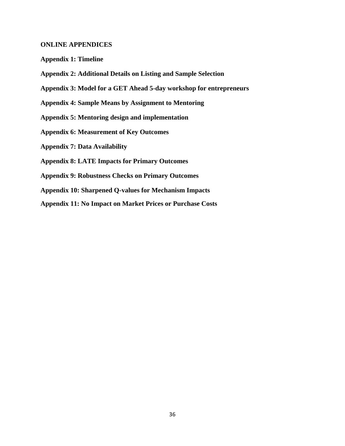## **ONLINE APPENDICES**

- **Appendix 1: Timeline**
- **Appendix 2: Additional Details on Listing and Sample Selection**
- **Appendix 3: Model for a GET Ahead 5-day workshop for entrepreneurs**
- **Appendix 4: Sample Means by Assignment to Mentoring**
- **Appendix 5: Mentoring design and implementation**
- **Appendix 6: Measurement of Key Outcomes**
- **Appendix 7: Data Availability**
- **Appendix 8: LATE Impacts for Primary Outcomes**
- **Appendix 9: Robustness Checks on Primary Outcomes**
- **Appendix 10: Sharpened Q-values for Mechanism Impacts**
- **Appendix 11: No Impact on Market Prices or Purchase Costs**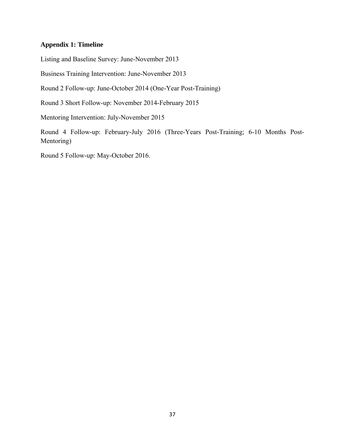# **Appendix 1: Timeline**

Listing and Baseline Survey: June-November 2013

Business Training Intervention: June-November 2013

Round 2 Follow-up: June-October 2014 (One-Year Post-Training)

Round 3 Short Follow-up: November 2014-February 2015

Mentoring Intervention: July-November 2015

Round 4 Follow-up: February-July 2016 (Three-Years Post-Training; 6-10 Months Post-Mentoring)

Round 5 Follow-up: May-October 2016.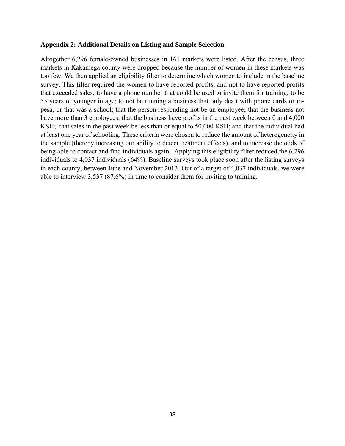## **Appendix 2: Additional Details on Listing and Sample Selection**

Altogether 6,296 female-owned businesses in 161 markets were listed. After the census, three markets in Kakamega county were dropped because the number of women in these markets was too few. We then applied an eligibility filter to determine which women to include in the baseline survey. This filter required the women to have reported profits, and not to have reported profits that exceeded sales; to have a phone number that could be used to invite them for training; to be 55 years or younger in age; to not be running a business that only dealt with phone cards or mpesa, or that was a school; that the person responding not be an employee; that the business not have more than 3 employees; that the business have profits in the past week between 0 and 4,000 KSH; that sales in the past week be less than or equal to 50,000 KSH; and that the individual had at least one year of schooling. These criteria were chosen to reduce the amount of heterogeneity in the sample (thereby increasing our ability to detect treatment effects), and to increase the odds of being able to contact and find individuals again. Applying this eligibility filter reduced the 6,296 individuals to 4,037 individuals (64%). Baseline surveys took place soon after the listing surveys in each county, between June and November 2013. Out of a target of 4,037 individuals, we were able to interview 3,537 (87.6%) in time to consider them for inviting to training.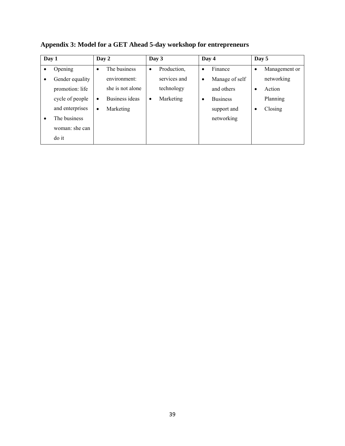| Day 1 |                 | Day 2     |                  |           | Day 3        | Day 4     |                 |           | Day 5         |
|-------|-----------------|-----------|------------------|-----------|--------------|-----------|-----------------|-----------|---------------|
|       | Opening         | ٠         | The business     | $\bullet$ | Production,  | $\bullet$ | Finance         | $\bullet$ | Management or |
|       | Gender equality |           | environment:     |           | services and | $\bullet$ | Manage of self  |           | networking    |
|       | promotion: life |           | she is not alone |           | technology   |           | and others      | $\bullet$ | Action        |
|       | cycle of people | $\bullet$ | Business ideas   | ٠         | Marketing    | ٠         | <b>Business</b> |           | Planning      |
|       | and enterprises | $\bullet$ | Marketing        |           |              |           | support and     | ٠         | Closing       |
| ٠     | The business    |           |                  |           |              |           | networking      |           |               |
|       | woman: she can  |           |                  |           |              |           |                 |           |               |
|       | do it           |           |                  |           |              |           |                 |           |               |

**Appendix 3: Model for a GET Ahead 5-day workshop for entrepreneurs**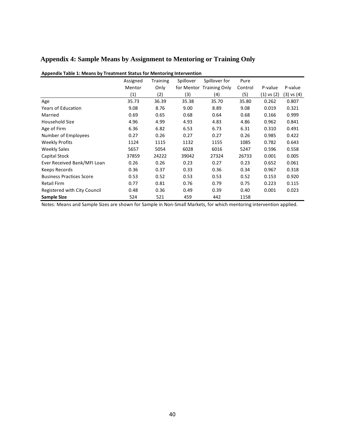# **Appendix 4: Sample Means by Assignment to Mentoring or Training Only**

| "                               |          |                 | statas ion mentoring intervention |                          |         |            |                |
|---------------------------------|----------|-----------------|-----------------------------------|--------------------------|---------|------------|----------------|
|                                 | Assigned | <b>Training</b> | Spillover                         | Spillover for            | Pure    |            |                |
|                                 | Mentor   | Only            |                                   | for Mentor Training Only | Control | P-value    | P-value        |
|                                 | (1)      | (2)             | (3)                               | (4)                      | (5)     | (1) vs (2) | $(3)$ vs $(4)$ |
| Age                             | 35.73    | 36.39           | 35.38                             | 35.70                    | 35.80   | 0.262      | 0.807          |
| <b>Years of Education</b>       | 9.08     | 8.76            | 9.00                              | 8.89                     | 9.08    | 0.019      | 0.321          |
| Married                         | 0.69     | 0.65            | 0.68                              | 0.64                     | 0.68    | 0.166      | 0.999          |
| Household Size                  | 4.96     | 4.99            | 4.93                              | 4.83                     | 4.86    | 0.962      | 0.841          |
| Age of Firm                     | 6.36     | 6.82            | 6.53                              | 6.73                     | 6.31    | 0.310      | 0.491          |
| Number of Employees             | 0.27     | 0.26            | 0.27                              | 0.27                     | 0.26    | 0.985      | 0.422          |
| <b>Weekly Profits</b>           | 1124     | 1115            | 1132                              | 1155                     | 1085    | 0.782      | 0.643          |
| Weekly Sales                    | 5657     | 5054            | 6028                              | 6016                     | 5247    | 0.596      | 0.558          |
| Capital Stock                   | 37859    | 24222           | 39042                             | 27324                    | 26733   | 0.001      | 0.005          |
| Ever Received Bank/MFI Loan     | 0.26     | 0.26            | 0.23                              | 0.27                     | 0.23    | 0.652      | 0.061          |
| Keeps Records                   | 0.36     | 0.37            | 0.33                              | 0.36                     | 0.34    | 0.967      | 0.318          |
| <b>Business Practices Score</b> | 0.53     | 0.52            | 0.53                              | 0.53                     | 0.52    | 0.153      | 0.920          |
| <b>Retail Firm</b>              | 0.77     | 0.81            | 0.76                              | 0.79                     | 0.75    | 0.223      | 0.115          |
| Registered with City Council    | 0.48     | 0.36            | 0.49                              | 0.39                     | 0.40    | 0.001      | 0.023          |
| Sample Size                     | 524      | 521             | 459                               | 442                      | 1158    |            |                |

#### **Appendix Table 1: Means by Treatment Status for Mentoring Intervention**

Notes: Means and Sample Sizes are shown for Sample in Non‐Small Markets, for which mentoring intervention applied.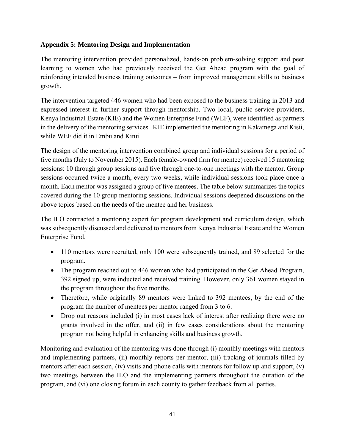# **Appendix 5: Mentoring Design and Implementation**

The mentoring intervention provided personalized, hands-on problem-solving support and peer learning to women who had previously received the Get Ahead program with the goal of reinforcing intended business training outcomes – from improved management skills to business growth.

The intervention targeted 446 women who had been exposed to the business training in 2013 and expressed interest in further support through mentorship. Two local, public service providers, Kenya Industrial Estate (KIE) and the Women Enterprise Fund (WEF), were identified as partners in the delivery of the mentoring services. KIE implemented the mentoring in Kakamega and Kisii, while WEF did it in Embu and Kitui.

The design of the mentoring intervention combined group and individual sessions for a period of five months (July to November 2015). Each female-owned firm (or mentee) received 15 mentoring sessions: 10 through group sessions and five through one-to-one meetings with the mentor. Group sessions occurred twice a month, every two weeks, while individual sessions took place once a month. Each mentor was assigned a group of five mentees. The table below summarizes the topics covered during the 10 group mentoring sessions. Individual sessions deepened discussions on the above topics based on the needs of the mentee and her business.

The ILO contracted a mentoring expert for program development and curriculum design, which was subsequently discussed and delivered to mentors from Kenya Industrial Estate and the Women Enterprise Fund.

- 110 mentors were recruited, only 100 were subsequently trained, and 89 selected for the program.
- The program reached out to 446 women who had participated in the Get Ahead Program, 392 signed up, were inducted and received training. However, only 361 women stayed in the program throughout the five months.
- Therefore, while originally 89 mentors were linked to 392 mentees, by the end of the program the number of mentees per mentor ranged from 3 to 6.
- Drop out reasons included (i) in most cases lack of interest after realizing there were no grants involved in the offer, and (ii) in few cases considerations about the mentoring program not being helpful in enhancing skills and business growth.

Monitoring and evaluation of the mentoring was done through (i) monthly meetings with mentors and implementing partners, (ii) monthly reports per mentor, (iii) tracking of journals filled by mentors after each session, (iv) visits and phone calls with mentors for follow up and support, (v) two meetings between the ILO and the implementing partners throughout the duration of the program, and (vi) one closing forum in each county to gather feedback from all parties.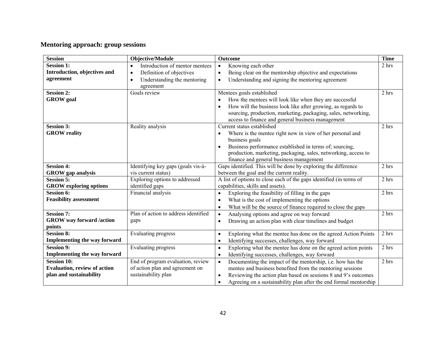# **Mentoring approach: group sessions**

| <b>Session</b>                                     | Objective/Module                            | Outcome                                                                        | <b>Time</b> |
|----------------------------------------------------|---------------------------------------------|--------------------------------------------------------------------------------|-------------|
| <b>Session 1:</b>                                  | Introduction of mentor mentees<br>$\bullet$ | Knowing each other<br>$\bullet$                                                | 2 hrs       |
| Introduction, objectives and                       | Definition of objectives<br>$\bullet$       | Being clear on the mentorship objective and expectations<br>$\bullet$          |             |
| agreement                                          | Understanding the mentoring<br>$\bullet$    | Understanding and signing the mentoring agreement<br>$\bullet$                 |             |
|                                                    | agreement                                   |                                                                                |             |
| <b>Session 2:</b>                                  | Goals review                                | Mentees goals established                                                      | 2 hrs       |
| <b>GROW</b> goal                                   |                                             | How the mentees will look like when they are successful                        |             |
|                                                    |                                             | How will the business look like after growing, as regards to                   |             |
|                                                    |                                             | sourcing, production, marketing, packaging, sales, networking,                 |             |
|                                                    |                                             | access to finance and general business management                              |             |
| <b>Session 3:</b>                                  | Reality analysis                            | Current status established                                                     | 2 hrs       |
| <b>GROW</b> reality                                |                                             | Where is the mentee right now in view of her personal and                      |             |
|                                                    |                                             | business goals                                                                 |             |
|                                                    |                                             | Business performance established in terms of; sourcing,                        |             |
|                                                    |                                             | production, marketing, packaging, sales, networking, access to                 |             |
|                                                    |                                             | finance and general business management                                        |             |
| <b>Session 4:</b>                                  | Identifying key gaps (goals vis-à-          | Gaps identified. This will be done by exploring the difference                 | 2 hrs       |
| <b>GROW</b> gap analysis<br><b>Session 5:</b>      | vis current status)                         | between the goal and the current reality.                                      |             |
|                                                    | Exploring options to addressed              | A list of options to close each of the gaps identified (in terms of            | 2 hrs       |
| <b>GROW</b> exploring options<br><b>Session 6:</b> | identified gaps<br>Financial analysis       | capabilities, skills and assets).                                              | 2 hrs       |
| <b>Feasibility assessment</b>                      |                                             | Exploring the feasibility of filling in the gaps<br>$\bullet$                  |             |
|                                                    |                                             | What is the cost of implementing the options<br>$\bullet$                      |             |
| <b>Session 7:</b>                                  | Plan of action to address identified        | What will be the source of finance required to close the gaps<br>$\bullet$     | 2 hrs       |
|                                                    |                                             | Analysing options and agree on way forward<br>$\bullet$                        |             |
| <b>GROW</b> way forward /action<br>points          | gaps                                        | Drawing an action plan with clear timelines and budget<br>$\bullet$            |             |
| <b>Session 8:</b>                                  | <b>Evaluating progress</b>                  | Exploring what the mentee has done on the agreed Action Points<br>$\bullet$    | 2 hrs       |
| <b>Implementing the way forward</b>                |                                             | Identifying successes, challenges, way forward<br>$\bullet$                    |             |
| <b>Session 9:</b>                                  | Evaluating progress                         | Exploring what the mentee has done on the agreed action points<br>$\bullet$    | 2 hrs       |
| Implementing the way forward                       |                                             | Identifying successes, challenges, way forward<br>$\bullet$                    |             |
| <b>Session 10:</b>                                 | End of program evaluation, review           | Documenting the impact of the mentorship, i.e. how has the<br>$\bullet$        | 2 hrs       |
| <b>Evaluation, review of action</b>                | of action plan and agreement on             | mentee and business benefited from the mentoring sessions                      |             |
| plan and sustainability                            | sustainability plan                         | Reviewing the action plan based on sessions 8 and 9's outcomes<br>$\bullet$    |             |
|                                                    |                                             | Agreeing on a sustainability plan after the end formal mentorship<br>$\bullet$ |             |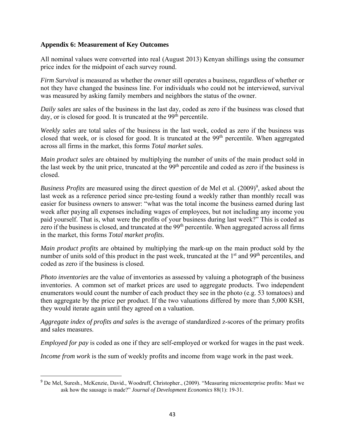## **Appendix 6: Measurement of Key Outcomes**

All nominal values were converted into real (August 2013) Kenyan shillings using the consumer price index for the midpoint of each survey round.

*Firm Survival* is measured as whether the owner still operates a business, regardless of whether or not they have changed the business line. For individuals who could not be interviewed, survival was measured by asking family members and neighbors the status of the owner.

*Daily sales* are sales of the business in the last day, coded as zero if the business was closed that day, or is closed for good. It is truncated at the  $99<sup>th</sup>$  percentile.

*Weekly sales* are total sales of the business in the last week, coded as zero if the business was closed that week, or is closed for good. It is truncated at the 99<sup>th</sup> percentile. When aggregated across all firms in the market, this forms *Total market sales.*

*Main product sales* are obtained by multiplying the number of units of the main product sold in the last week by the unit price, truncated at the 99<sup>th</sup> percentile and coded as zero if the business is closed.

*Business Profits* are measured using the direct question of de Mel et al. (2009)<sup>9</sup>, asked about the last week as a reference period since pre-testing found a weekly rather than monthly recall was easier for business owners to answer: "what was the total income the business earned during last week after paying all expenses including wages of employees, but not including any income you paid yourself. That is, what were the profits of your business during last week?" This is coded as zero if the business is closed, and truncated at the 99<sup>th</sup> percentile. When aggregated across all firms in the market, this forms *Total market profits.* 

*Main product profits* are obtained by multiplying the mark-up on the main product sold by the number of units sold of this product in the past week, truncated at the 1<sup>st</sup> and 99<sup>th</sup> percentiles, and coded as zero if the business is closed.

*Photo inventories* are the value of inventories as assessed by valuing a photograph of the business inventories. A common set of market prices are used to aggregate products. Two independent enumerators would count the number of each product they see in the photo (e.g. 53 tomatoes) and then aggregate by the price per product. If the two valuations differed by more than 5,000 KSH, they would iterate again until they agreed on a valuation.

*Aggregate index of profits and sales* is the average of standardized z-scores of the primary profits and sales measures.

*Employed for pay* is coded as one if they are self-employed or worked for wages in the past week.

*Income from work* is the sum of weekly profits and income from wage work in the past week.

<sup>9</sup> De Mel, Suresh., McKenzie, David., Woodruff, Christopher., (2009). "Measuring microenterprise profits: Must we ask how the sausage is made?" *Journal of Development Economics* 88(1): 19-31.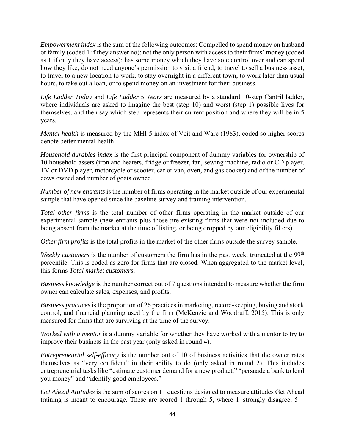*Empowerment index* is the sum of the following outcomes: Compelled to spend money on husband or family (coded 1 if they answer no); not the only person with access to their firms' money (coded as 1 if only they have access); has some money which they have sole control over and can spend how they like; do not need anyone's permission to visit a friend, to travel to sell a business asset, to travel to a new location to work, to stay overnight in a different town, to work later than usual hours, to take out a loan, or to spend money on an investment for their business.

*Life Ladder Today* and *Life Ladder 5 Years* are measured by a standard 10-step Cantril ladder, where individuals are asked to imagine the best (step 10) and worst (step 1) possible lives for themselves, and then say which step represents their current position and where they will be in 5 years.

*Mental health* is measured by the MHI-5 index of Veit and Ware (1983), coded so higher scores denote better mental health.

*Household durables index* is the first principal component of dummy variables for ownership of 10 household assets (iron and heaters, fridge or freezer, fan, sewing machine, radio or CD player, TV or DVD player, motorcycle or scooter, car or van, oven, and gas cooker) and of the number of cows owned and number of goats owned.

*Number of new entrants* is the number of firms operating in the market outside of our experimental sample that have opened since the baseline survey and training intervention.

*Total other firms* is the total number of other firms operating in the market outside of our experimental sample (new entrants plus those pre-existing firms that were not included due to being absent from the market at the time of listing, or being dropped by our eligibility filters).

*Other firm profits* is the total profits in the market of the other firms outside the survey sample.

*Weekly customers* is the number of customers the firm has in the past week, truncated at the 99<sup>th</sup> percentile. This is coded as zero for firms that are closed. When aggregated to the market level, this forms *Total market customers*.

*Business knowledge* is the number correct out of 7 questions intended to measure whether the firm owner can calculate sales, expenses, and profits.

*Business practices* is the proportion of 26 practices in marketing, record-keeping, buying and stock control, and financial planning used by the firm (McKenzie and Woodruff, 2015). This is only measured for firms that are surviving at the time of the survey.

*Worked with a mentor* is a dummy variable for whether they have worked with a mentor to try to improve their business in the past year (only asked in round 4).

*Entrepreneurial self-efficacy* is the number out of 10 of business activities that the owner rates themselves as "very confident" in their ability to do (only asked in round 2). This includes entrepreneurial tasks like "estimate customer demand for a new product," "persuade a bank to lend you money" and "identify good employees."

*Get Ahead Attitudes* is the sum of scores on 11 questions designed to measure attitudes Get Ahead training is meant to encourage. These are scored 1 through 5, where 1=strongly disagree,  $5 =$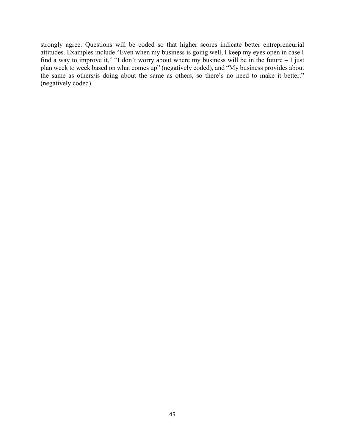strongly agree. Questions will be coded so that higher scores indicate better entrepreneurial attitudes. Examples include "Even when my business is going well, I keep my eyes open in case I find a way to improve it," "I don't worry about where my business will be in the future  $-1$  just plan week to week based on what comes up" (negatively coded), and "My business provides about the same as others/is doing about the same as others, so there's no need to make it better." (negatively coded).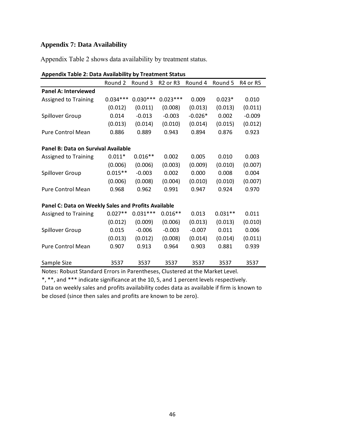# **Appendix 7: Data Availability**

Appendix Table 2 shows data availability by treatment status.

|                                                     | Round 2    | Round 3    | R <sub>2</sub> or R <sub>3</sub> | Round 4   | Round 5   | R <sub>4</sub> or R <sub>5</sub> |  |  |  |  |
|-----------------------------------------------------|------------|------------|----------------------------------|-----------|-----------|----------------------------------|--|--|--|--|
| <b>Panel A: Interviewed</b>                         |            |            |                                  |           |           |                                  |  |  |  |  |
| Assigned to Training                                | $0.034***$ | $0.030***$ | $0.023***$                       | 0.009     | $0.023*$  | 0.010                            |  |  |  |  |
|                                                     | (0.012)    | (0.011)    | (0.008)                          | (0.013)   | (0.013)   | (0.011)                          |  |  |  |  |
| Spillover Group                                     | 0.014      | $-0.013$   | $-0.003$                         | $-0.026*$ | 0.002     | $-0.009$                         |  |  |  |  |
|                                                     | (0.013)    | (0.014)    | (0.010)                          | (0.014)   | (0.015)   | (0.012)                          |  |  |  |  |
| <b>Pure Control Mean</b>                            | 0.886      | 0.889      | 0.943                            | 0.894     | 0.876     | 0.923                            |  |  |  |  |
| Panel B: Data on Survival Available                 |            |            |                                  |           |           |                                  |  |  |  |  |
| <b>Assigned to Training</b>                         | $0.011*$   | $0.016**$  | 0.002                            | 0.005     | 0.010     | 0.003                            |  |  |  |  |
|                                                     | (0.006)    | (0.006)    | (0.003)                          | (0.009)   | (0.010)   | (0.007)                          |  |  |  |  |
| Spillover Group                                     | $0.015**$  | $-0.003$   | 0.002                            | 0.000     | 0.008     | 0.004                            |  |  |  |  |
|                                                     | (0.006)    | (0.008)    | (0.004)                          | (0.010)   | (0.010)   | (0.007)                          |  |  |  |  |
| <b>Pure Control Mean</b>                            | 0.968      | 0.962      | 0.991                            | 0.947     | 0.924     | 0.970                            |  |  |  |  |
| Panel C: Data on Weekly Sales and Profits Available |            |            |                                  |           |           |                                  |  |  |  |  |
| Assigned to Training                                | $0.027**$  | $0.031***$ | $0.016**$                        | 0.013     | $0.031**$ | 0.011                            |  |  |  |  |
|                                                     | (0.012)    | (0.009)    | (0.006)                          | (0.013)   | (0.013)   | (0.010)                          |  |  |  |  |
| Spillover Group                                     | 0.015      | $-0.006$   | $-0.003$                         | $-0.007$  | 0.011     | 0.006                            |  |  |  |  |
|                                                     | (0.013)    | (0.012)    | (0.008)                          | (0.014)   | (0.014)   | (0.011)                          |  |  |  |  |
| <b>Pure Control Mean</b>                            | 0.907      | 0.913      | 0.964                            | 0.903     | 0.881     | 0.939                            |  |  |  |  |
| Sample Size                                         | 3537       | 3537       | 3537                             | 3537      | 3537      | 3537                             |  |  |  |  |

| <b>Appendix Table 2: Data Availability by Treatment Status</b> |  |  |
|----------------------------------------------------------------|--|--|
|                                                                |  |  |

Notes: Robust Standard Errors in Parentheses, Clustered at the Market Level.

\*, \*\*, and \*\*\* indicate significance at the 10, 5, and 1 percent levels respectively.

Data on weekly sales and profits availability codes data as available if firm is known to be closed (since then sales and profits are known to be zero).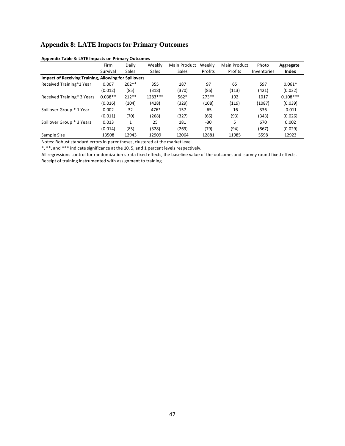# **Appendix 8: LATE Impacts for Primary Outcomes**

|                                                              | Firm      | Daily        | Weekly       | Main Product | Weekly  | Main Product | Photo       | Aggregate  |
|--------------------------------------------------------------|-----------|--------------|--------------|--------------|---------|--------------|-------------|------------|
|                                                              | Survival  | <b>Sales</b> | <b>Sales</b> | <b>Sales</b> | Profits | Profits      | Inventories | Index      |
| <b>Impact of Receiving Training, Allowing for Spillovers</b> |           |              |              |              |         |              |             |            |
| Received Training*1 Year                                     | 0.007     | $202**$      | 355          | 187          | 97      | 65           | 597         | $0.061*$   |
|                                                              | (0.012)   | (85)         | (318)        | (370)        | (86)    | (113)        | (421)       | (0.032)    |
| Received Training* 3 Years                                   | $0.038**$ | $212**$      | 1283 ***     | $562*$       | $273**$ | 192          | 1017        | $0.108***$ |
|                                                              | (0.016)   | (104)        | (428)        | (329)        | (108)   | (119)        | (1087)      | (0.039)    |
| Spillover Group * 1 Year                                     | 0.002     | 32           | $-476*$      | 157          | -65     | $-16$        | 336         | $-0.011$   |
|                                                              | (0.011)   | (70)         | (268)        | (327)        | (66)    | (93)         | (343)       | (0.026)    |
| Spillover Group * 3 Years                                    | 0.013     | $\mathbf{1}$ | 25           | 181          | -30     | 5            | 670         | 0.002      |
|                                                              | (0.014)   | (85)         | (328)        | (269)        | (79)    | (94)         | (867)       | (0.029)    |
| Sample Size                                                  | 13508     | 12943        | 12909        | 12064        | 12881   | 11985        | 5598        | 12923      |

#### **Appendix Table 3: LATE Impacts on Primary Outcomes**

Notes: Robust standard errors in parentheses, clustered at the market level.

\*, \*\*, and \*\*\* indicate significance at the 10, 5, and 1 percent levels respectively.

All regressions control for randomization strata fixed effects, the baseline value of the outcome, and survey round fixed effects. Receipt of training instrumented with assignment to training.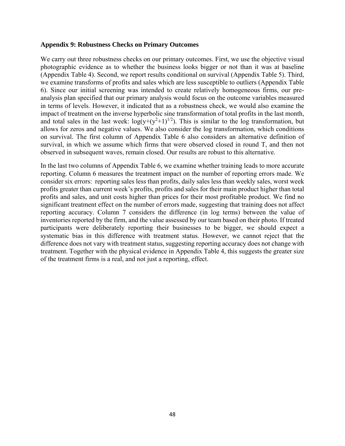## **Appendix 9: Robustness Checks on Primary Outcomes**

We carry out three robustness checks on our primary outcomes. First, we use the objective visual photographic evidence as to whether the business looks bigger or not than it was at baseline (Appendix Table 4). Second, we report results conditional on survival (Appendix Table 5). Third, we examine transforms of profits and sales which are less susceptible to outliers (Appendix Table 6). Since our initial screening was intended to create relatively homogeneous firms, our preanalysis plan specified that our primary analysis would focus on the outcome variables measured in terms of levels. However, it indicated that as a robustness check, we would also examine the impact of treatment on the inverse hyperbolic sine transformation of total profits in the last month, and total sales in the last week:  $log(y+(y^2+1)^{1/2})$ . This is similar to the log transformation, but allows for zeros and negative values. We also consider the log transformation, which conditions on survival. The first column of Appendix Table 6 also considers an alternative definition of survival, in which we assume which firms that were observed closed in round T, and then not observed in subsequent waves, remain closed. Our results are robust to this alternative.

In the last two columns of Appendix Table 6, we examine whether training leads to more accurate reporting. Column 6 measures the treatment impact on the number of reporting errors made. We consider six errors: reporting sales less than profits, daily sales less than weekly sales, worst week profits greater than current week's profits, profits and sales for their main product higher than total profits and sales, and unit costs higher than prices for their most profitable product. We find no significant treatment effect on the number of errors made, suggesting that training does not affect reporting accuracy. Column 7 considers the difference (in log terms) between the value of inventories reported by the firm, and the value assessed by our team based on their photo. If treated participants were deliberately reporting their businesses to be bigger, we should expect a systematic bias in this difference with treatment status. However, we cannot reject that the difference does not vary with treatment status, suggesting reporting accuracy does not change with treatment. Together with the physical evidence in Appendix Table 4, this suggests the greater size of the treatment firms is a real, and not just a reporting, effect.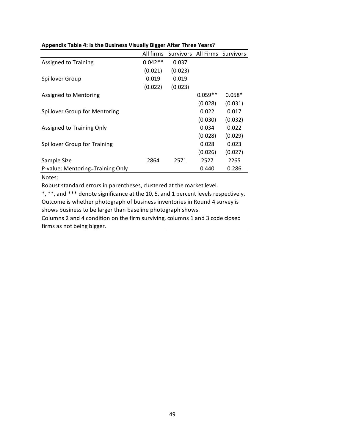|                                  |           | All firms Survivors All Firms Survivors |           |          |
|----------------------------------|-----------|-----------------------------------------|-----------|----------|
| <b>Assigned to Training</b>      | $0.042**$ | 0.037                                   |           |          |
|                                  | (0.021)   | (0.023)                                 |           |          |
| Spillover Group                  | 0.019     | 0.019                                   |           |          |
|                                  | (0.022)   | (0.023)                                 |           |          |
| Assigned to Mentoring            |           |                                         | $0.059**$ | $0.058*$ |
|                                  |           |                                         | (0.028)   | (0.031)  |
| Spillover Group for Mentoring    |           |                                         | 0.022     | 0.017    |
|                                  |           |                                         | (0.030)   | (0.032)  |
| Assigned to Training Only        |           |                                         | 0.034     | 0.022    |
|                                  |           |                                         | (0.028)   | (0.029)  |
| Spillover Group for Training     |           |                                         | 0.028     | 0.023    |
|                                  |           |                                         | (0.026)   | (0.027)  |
| Sample Size                      | 2864      | 2571                                    | 2527      | 2265     |
| P-value: Mentoring=Training Only |           |                                         | 0.440     | 0.286    |

## **Appendix Table 4: Is the Business Visually Bigger After Three Years?**

## Notes:

Robust standard errors in parentheses, clustered at the market level.

\*, \*\*, and \*\*\* denote significance at the 10, 5, and 1 percent levels respectively. Outcome is whether photograph of business inventories in Round 4 survey is shows business to be larger than baseline photograph shows.

Columns 2 and 4 condition on the firm surviving, columns 1 and 3 code closed firms as not being bigger.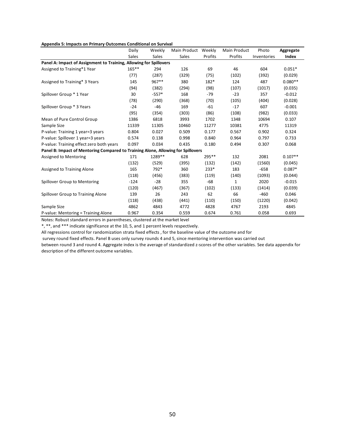|  | Appendix 5: Impacts on Primary Outcomes Conditional on Survival |
|--|-----------------------------------------------------------------|
|--|-----------------------------------------------------------------|

|                                                                                  | Daily  | Weekly  | Main Product Weekly |         | Main Product | Photo       | Aggregate |
|----------------------------------------------------------------------------------|--------|---------|---------------------|---------|--------------|-------------|-----------|
|                                                                                  | Sales  | Sales   | Sales               | Profits | Profits      | Inventories | Index     |
| Panel A: Impact of Assignment to Training, Allowing for Spillovers               |        |         |                     |         |              |             |           |
| Assigned to Training*1 Year                                                      | 165**  | 294     | 126                 | 69      | 46           | 604         | $0.051*$  |
|                                                                                  | (77)   | (287)   | (329)               | (75)    | (102)        | (392)       | (0.029)   |
| Assigned to Training* 3 Years                                                    | 145    | 967**   | 380                 | 182*    | 124          | 487         | $0.080**$ |
|                                                                                  | (94)   | (382)   | (294)               | (98)    | (107)        | (1017)      | (0.035)   |
| Spillover Group * 1 Year                                                         | 30     | $-557*$ | 168                 | -79     | $-23$        | 357         | $-0.012$  |
|                                                                                  | (78)   | (290)   | (368)               | (70)    | (105)        | (404)       | (0.028)   |
| Spillover Group * 3 Years                                                        | $-24$  | $-46$   | 169                 | $-61$   | $-17$        | 607         | $-0.001$  |
|                                                                                  | (95)   | (354)   | (303)               | (86)    | (108)        | (982)       | (0.033)   |
| Mean of Pure Control Group                                                       | 1386   | 6818    | 3993                | 1702    | 1348         | 10694       | 0.107     |
| Sample Size                                                                      | 11339  | 11305   | 10460               | 11277   | 10381        | 4775        | 11319     |
| P-value: Training 1 year=3 years                                                 | 0.804  | 0.027   | 0.509               | 0.177   | 0.567        | 0.902       | 0.324     |
| P-value: Spillover 1 year=3 years                                                | 0.574  | 0.138   | 0.998               | 0.840   | 0.964        | 0.797       | 0.733     |
| P-value: Training effect zero both years                                         | 0.097  | 0.034   | 0.435               | 0.180   | 0.494        | 0.307       | 0.068     |
| Panel B: Impact of Mentoring Compared to Training Alone, Allowing for Spillovers |        |         |                     |         |              |             |           |
| Assigned to Mentoring                                                            | 171    | 1289**  | 628                 | 295**   | 132          | 2081        | $0.107**$ |
|                                                                                  | (132)  | (529)   | (395)               | (132)   | (142)        | (1560)      | (0.045)   |
| Assigned to Training Alone                                                       | 165    | 792*    | 360                 | $233*$  | 183          | $-658$      | $0.087*$  |
|                                                                                  | (118)  | (456)   | (383)               | (119)   | (140)        | (1093)      | (0.044)   |
| Spillover Group to Mentoring                                                     | $-124$ | $-28$   | 355                 | $-68$   | 1            | 2020        | $-0.015$  |
|                                                                                  | (120)  | (467)   | (367)               | (102)   | (133)        | (1414)      | (0.039)   |
| Spillover Group to Training Alone                                                | 139    | 26      | 243                 | 62      | 66           | $-460$      | 0.046     |
|                                                                                  | (118)  | (438)   | (441)               | (110)   | (150)        | (1220)      | (0.042)   |
| Sample Size                                                                      | 4862   | 4843    | 4772                | 4828    | 4767         | 2193        | 4845      |
| P-value: Mentoring = Training Alone                                              | 0.967  | 0.354   | 0.559               | 0.674   | 0.761        | 0.058       | 0.693     |

Notes: Robust standard errors in parentheses, clustered at the market level

\*, \*\*, and \*\*\* indicate significance at the 10, 5, and 1 percent levels respectively.

All regressions control for randomization strata fixed effects , for the baseline value of the outcome and for

survey round fixed effects. Panel B uses only survey rounds 4 and 5, since mentoring intervention was carried out

between round 3 and round 4. Aggregate index is the average of standardized z-scores of the other variables. See data appendix for description of the different outcome variables.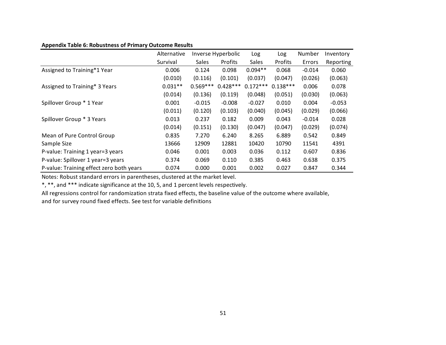|                                          | Alternative |              | Inverse Hyperbolic |              | Log        | Number   | Inventory |
|------------------------------------------|-------------|--------------|--------------------|--------------|------------|----------|-----------|
|                                          | Survival    | <b>Sales</b> | Profits            | <b>Sales</b> | Profits    | Errors   | Reporting |
| Assigned to Training*1 Year              | 0.006       | 0.124        | 0.098              | $0.094**$    | 0.068      | $-0.014$ | 0.060     |
|                                          | (0.010)     | (0.116)      | (0.101)            | (0.037)      | (0.047)    | (0.026)  | (0.063)   |
| Assigned to Training* 3 Years            | $0.031**$   | $0.569***$   | $0.428***$         | $0.172***$   | $0.138***$ | 0.006    | 0.078     |
|                                          | (0.014)     | (0.136)      | (0.119)            | (0.048)      | (0.051)    | (0.030)  | (0.063)   |
| Spillover Group * 1 Year                 | 0.001       | $-0.015$     | $-0.008$           | $-0.027$     | 0.010      | 0.004    | $-0.053$  |
|                                          | (0.011)     | (0.120)      | (0.103)            | (0.040)      | (0.045)    | (0.029)  | (0.066)   |
| Spillover Group * 3 Years                | 0.013       | 0.237        | 0.182              | 0.009        | 0.043      | $-0.014$ | 0.028     |
|                                          | (0.014)     | (0.151)      | (0.130)            | (0.047)      | (0.047)    | (0.029)  | (0.074)   |
| Mean of Pure Control Group               | 0.835       | 7.270        | 6.240              | 8.265        | 6.889      | 0.542    | 0.849     |
| Sample Size                              | 13666       | 12909        | 12881              | 10420        | 10790      | 11541    | 4391      |
| P-value: Training 1 year=3 years         | 0.046       | 0.001        | 0.003              | 0.036        | 0.112      | 0.607    | 0.836     |
| P-value: Spillover 1 year=3 years        | 0.374       | 0.069        | 0.110              | 0.385        | 0.463      | 0.638    | 0.375     |
| P-value: Training effect zero both years | 0.074       | 0.000        | 0.001              | 0.002        | 0.027      | 0.847    | 0.344     |

## **Appendix Table 6: Robustness of Primary Outcome Results**

Notes: Robust standard errors in parentheses, clustered at the market level.

\*, \*\*, and \*\*\* indicate significance at the 10, 5, and 1 percent levels respectively.

All regressions control for randomization strata fixed effects, the baseline value of the outcome where available,

and for survey round fixed effects. See test for variable definitions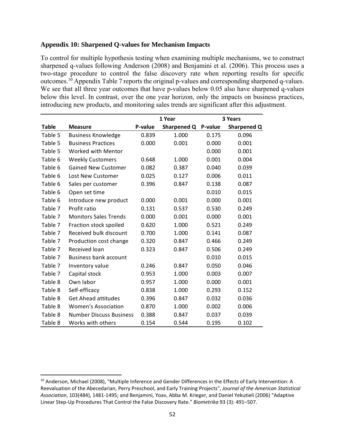## **Appendix 10: Sharpened Q-values for Mechanism Impacts**

To control for multiple hypothesis testing when examining multiple mechanisms, we to construct sharpened q-values following Anderson (2008) and Benjamini et al. (2006). This process uses a two-stage procedure to control the false discovery rate when reporting results for specific outcomes.10 Appendix Table 7 reports the original p-values and corresponding sharpened q-values. We see that all three year outcomes that have p-values below 0.05 also have sharpened q-values below this level. In contrast, over the one year horizon, only the impacts on business practices, introducing new products, and monitoring sales trends are significant after this adjustment.

|              |                                | 1 Year  |             |         | 3 Years     |
|--------------|--------------------------------|---------|-------------|---------|-------------|
| <b>Table</b> | <b>Measure</b>                 | P-value | Sharpened Q | P-value | Sharpened Q |
| Table 5      | <b>Business Knowledge</b>      | 0.839   | 1.000       | 0.175   | 0.096       |
| Table 5      | <b>Business Practices</b>      | 0.000   | 0.001       | 0.000   | 0.001       |
| Table 5      | Worked with Mentor             |         |             | 0.000   | 0.001       |
| Table 6      | <b>Weekly Customers</b>        | 0.648   | 1.000       | 0.001   | 0.004       |
| Table 6      | <b>Gained New Customer</b>     | 0.082   | 0.387       | 0.040   | 0.039       |
| Table 6      | Lost New Customer              | 0.025   | 0.127       | 0.006   | 0.011       |
| Table 6      | Sales per customer             | 0.396   | 0.847       | 0.138   | 0.087       |
| Table 6      | Open set time                  |         |             | 0.010   | 0.015       |
| Table 6      | Introduce new product          | 0.000   | 0.001       | 0.000   | 0.001       |
| Table 7      | Profit ratio                   | 0.131   | 0.537       | 0.530   | 0.249       |
| Table 7      | <b>Monitors Sales Trends</b>   | 0.000   | 0.001       | 0.000   | 0.001       |
| Table 7      | Fraction stock spoiled         | 0.620   | 1.000       | 0.521   | 0.249       |
| Table 7      | Received bulk discount         | 0.700   | 1.000       | 0.141   | 0.087       |
| Table 7      | Production cost change         | 0.320   | 0.847       | 0.466   | 0.249       |
| Table 7      | Received loan                  | 0.323   | 0.847       | 0.506   | 0.249       |
| Table 7      | <b>Business bank account</b>   |         |             | 0.010   | 0.015       |
| Table 7      | Inventory value                | 0.246   | 0.847       | 0.050   | 0.046       |
| Table 7      | Capital stock                  | 0.953   | 1.000       | 0.003   | 0.007       |
| Table 8      | Own labor                      | 0.957   | 1.000       | 0.000   | 0.001       |
| Table 8      | Self-efficacy                  | 0.838   | 1.000       | 0.293   | 0.152       |
| Table 8      | <b>Get Ahead attitudes</b>     | 0.396   | 0.847       | 0.032   | 0.036       |
| Table 8      | <b>Women's Association</b>     | 0.870   | 1.000       | 0.002   | 0.006       |
| Table 8      | <b>Number Discuss Business</b> | 0.388   | 0.847       | 0.037   | 0.039       |
| Table 8      | Works with others              | 0.154   | 0.544       | 0.195   | 0.102       |

<sup>&</sup>lt;sup>10</sup> Anderson, Michael (2008), "Multiple Inference and Gender Differences in the Effects of Early Intervention: A Reevaluation of the Abecedarian, Perry Preschool, and Early Training Projects", *Journal of the American Statistical Association*, 103(484), 1481‐1495; and Benjamini, Yoav, Abba M. Krieger, and Daniel Yekutieli (2006) "Adaptive Linear Step‐Up Procedures That Control the False Discovery Rate." *Biometrika* 93 (3): 491–507.